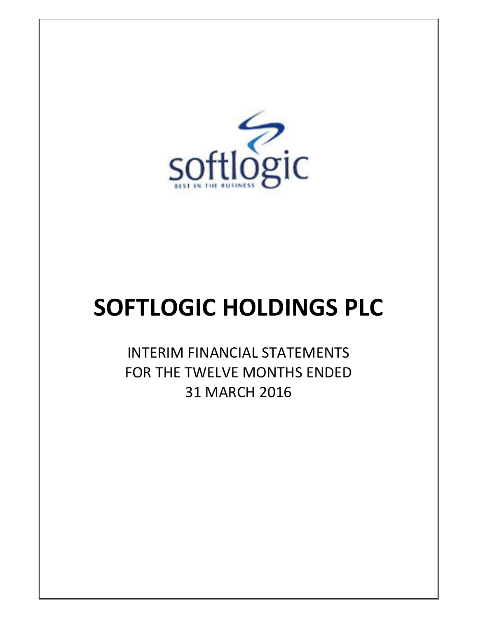

# SOFTLOGIC HOLDINGS PLC

INTERIM FINANCIAL STATEMENTS FOR THE TWELVE MONTHS ENDED 31 MARCH 2016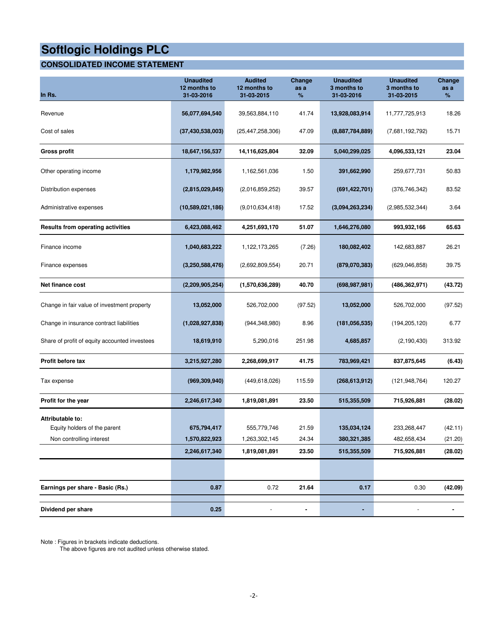#### **CONSOLIDATED INCOME STATEMENT**

| In Rs.                                                                       | <b>Unaudited</b><br>12 months to<br>31-03-2016 | <b>Audited</b><br>12 months to<br>31-03-2015  | <b>Change</b><br>as a<br>% | <b>Unaudited</b><br>3 months to<br>31-03-2016 | <b>Unaudited</b><br>3 months to<br>31-03-2015 | Change<br>as a<br>%           |
|------------------------------------------------------------------------------|------------------------------------------------|-----------------------------------------------|----------------------------|-----------------------------------------------|-----------------------------------------------|-------------------------------|
| Revenue                                                                      | 56,077,694,540                                 | 39,563,884,110                                | 41.74                      | 13,928,083,914                                | 11,777,725,913                                | 18.26                         |
| Cost of sales                                                                | (37, 430, 538, 003)                            | (25, 447, 258, 306)                           | 47.09                      | (8,887,784,889)                               | (7,681,192,792)                               | 15.71                         |
| <b>Gross profit</b>                                                          | 18,647,156,537                                 | 14,116,625,804                                | 32.09                      | 5,040,299,025                                 | 4,096,533,121                                 | 23.04                         |
| Other operating income                                                       | 1,179,982,956                                  | 1,162,561,036                                 | 1.50                       | 391,662,990                                   | 259,677,731                                   | 50.83                         |
| Distribution expenses                                                        | (2,815,029,845)                                | (2,016,859,252)                               | 39.57                      | (691, 422, 701)                               | (376, 746, 342)                               | 83.52                         |
| Administrative expenses                                                      | (10,589,021,186)                               | (9,010,634,418)                               | 17.52                      | (3,094,263,234)                               | (2,985,532,344)                               | 3.64                          |
| <b>Results from operating activities</b>                                     | 6,423,088,462                                  | 4,251,693,170                                 | 51.07                      | 1,646,276,080                                 | 993,932,166                                   | 65.63                         |
| Finance income                                                               | 1,040,683,222                                  | 1,122,173,265                                 | (7.26)                     | 180,082,402                                   | 142,683,887                                   | 26.21                         |
| Finance expenses                                                             | (3,250,588,476)                                | (2,692,809,554)                               | 20.71                      | (879,070,383)                                 | (629,046,858)                                 | 39.75                         |
| Net finance cost                                                             | (2,209,905,254)                                | (1,570,636,289)                               | 40.70                      | (698, 987, 981)                               | (486, 362, 971)                               | (43.72)                       |
| Change in fair value of investment property                                  | 13,052,000                                     | 526,702,000                                   | (97.52)                    | 13,052,000                                    | 526,702,000                                   | (97.52)                       |
| Change in insurance contract liabilities                                     | (1,028,927,838)                                | (944, 348, 980)                               | 8.96                       | (181, 056, 535)                               | (194, 205, 120)                               | 6.77                          |
| Share of profit of equity accounted investees                                | 18,619,910                                     | 5,290,016                                     | 251.98                     | 4,685,857                                     | (2, 190, 430)                                 | 313.92                        |
| Profit before tax                                                            | 3,215,927,280                                  | 2,268,699,917                                 | 41.75                      | 783,969,421                                   | 837,875,645                                   | (6.43)                        |
| Tax expense                                                                  | (969, 309, 940)                                | (449, 618, 026)                               | 115.59                     | (268, 613, 912)                               | (121,948,764)                                 | 120.27                        |
| Profit for the year                                                          | 2,246,617,340                                  | 1,819,081,891                                 | 23.50                      | 515,355,509                                   | 715,926,881                                   | (28.02)                       |
| Attributable to:<br>Equity holders of the parent<br>Non controlling interest | 675,794,417<br>1,570,822,923<br>2,246,617,340  | 555,779,746<br>1,263,302,145<br>1,819,081,891 | 21.59<br>24.34<br>23.50    | 135,034,124<br>380, 321, 385<br>515,355,509   | 233,268,447<br>482,658,434<br>715,926,881     | (42.11)<br>(21.20)<br>(28.02) |
|                                                                              |                                                |                                               |                            |                                               |                                               |                               |
| Earnings per share - Basic (Rs.)                                             | 0.87                                           | 0.72                                          | 21.64                      | 0.17                                          | 0.30                                          | (42.09)                       |
| Dividend per share                                                           | 0.25                                           |                                               | -                          | ٠                                             | $\overline{\phantom{a}}$                      |                               |

Note : Figures in brackets indicate deductions.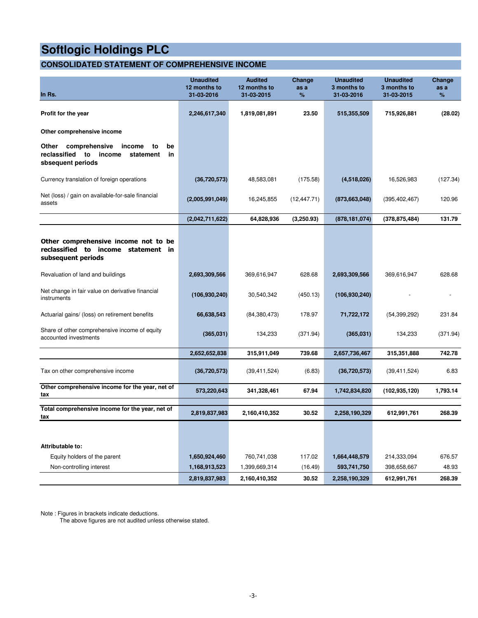#### **CONSOLIDATED STATEMENT OF COMPREHENSIVE INCOME**

| In Rs.                                                                                                            | <b>Unaudited</b><br>12 months to<br>31-03-2016 | <b>Audited</b><br>12 months to<br>31-03-2015 | Change<br>as a<br>% | <b>Unaudited</b><br>3 months to<br>31-03-2016 | <b>Unaudited</b><br>3 months to<br>31-03-2015 | Change<br>as a<br>% |
|-------------------------------------------------------------------------------------------------------------------|------------------------------------------------|----------------------------------------------|---------------------|-----------------------------------------------|-----------------------------------------------|---------------------|
| Profit for the year                                                                                               | 2,246,617,340                                  | 1,819,081,891                                | 23.50               | 515,355,509                                   | 715,926,881                                   | (28.02)             |
| Other comprehensive income                                                                                        |                                                |                                              |                     |                                               |                                               |                     |
| comprehensive<br>Other<br>income<br>be<br>to<br>reclassified to<br>income<br>in<br>statement<br>sbsequent periods |                                                |                                              |                     |                                               |                                               |                     |
| Currency translation of foreign operations                                                                        | (36,720,573)                                   | 48,583,081                                   | (175.58)            | (4,518,026)                                   | 16,526,983                                    | (127.34)            |
| Net (loss) / gain on available-for-sale financial<br>assets                                                       | (2,005,991,049)                                | 16,245,855                                   | (12, 447.71)        | (873, 663, 048)                               | (395, 402, 467)                               | 120.96              |
|                                                                                                                   | (2,042,711,622)                                | 64,828,936                                   | (3,250.93)          | (878, 181, 074)                               | (378, 875, 484)                               | 131.79              |
| Other comprehensive income not to be<br>reclassified to income statement<br>in.<br>subsequent periods             |                                                |                                              |                     |                                               |                                               |                     |
| Revaluation of land and buildings                                                                                 | 2,693,309,566                                  | 369,616,947                                  | 628.68              | 2,693,309,566                                 | 369,616,947                                   | 628.68              |
| Net change in fair value on derivative financial<br>instruments                                                   | (106, 930, 240)                                | 30,540,342                                   | (450.13)            | (106, 930, 240)                               |                                               |                     |
| Actuarial gains/ (loss) on retirement benefits                                                                    | 66,638,543                                     | (84, 380, 473)                               | 178.97              | 71,722,172                                    | (54, 399, 292)                                | 231.84              |
| Share of other comprehensive income of equity<br>accounted investments                                            | (365, 031)                                     | 134,233                                      | (371.94)            | (365,031)                                     | 134,233                                       | (371.94)            |
|                                                                                                                   | 2,652,652,838                                  | 315,911,049                                  | 739.68              | 2,657,736,467                                 | 315,351,888                                   | 742.78              |
| Tax on other comprehensive income                                                                                 | (36,720,573)                                   | (39, 411, 524)                               | (6.83)              | (36, 720, 573)                                | (39, 411, 524)                                | 6.83                |
| Other comprehensive income for the year, net of<br>tax                                                            | 573,220,643                                    | 341,328,461                                  | 67.94               | 1,742,834,820                                 | (102, 935, 120)                               | 1,793.14            |
| Total comprehensive income for the year, net of<br>tax                                                            | 2,819,837,983                                  | 2,160,410,352                                | 30.52               | 2,258,190,329                                 | 612,991,761                                   | 268.39              |
|                                                                                                                   |                                                |                                              |                     |                                               |                                               |                     |
| Attributable to:                                                                                                  |                                                |                                              |                     |                                               |                                               |                     |
| Equity holders of the parent                                                                                      | 1,650,924,460                                  | 760,741,038                                  | 117.02              | 1,664,448,579                                 | 214,333,094                                   | 676.57              |
| Non-controlling interest                                                                                          | 1,168,913,523                                  | 1,399,669,314                                | (16.49)             | 593,741,750                                   | 398,658,667                                   | 48.93               |
|                                                                                                                   | 2,819,837,983                                  | 2,160,410,352                                | 30.52               | 2,258,190,329                                 | 612,991,761                                   | 268.39              |

Note : Figures in brackets indicate deductions.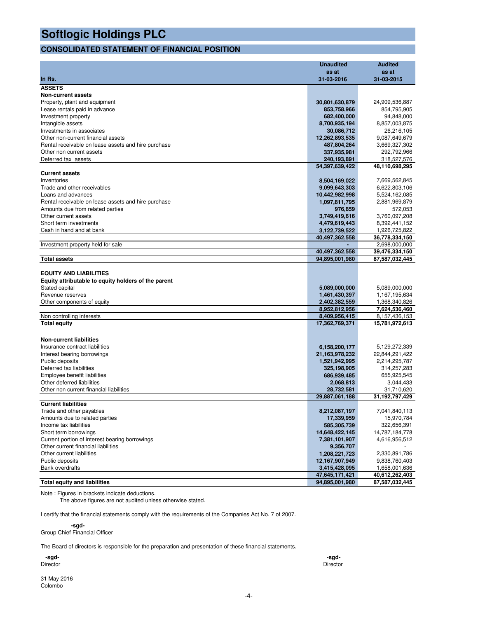#### **CONSOLIDATED STATEMENT OF FINANCIAL POSITION**

|                                                     | <b>Unaudited</b> | <b>Audited</b>    |
|-----------------------------------------------------|------------------|-------------------|
|                                                     | as at            | as at             |
| In Rs.                                              | 31-03-2016       | 31-03-2015        |
| <b>ASSETS</b>                                       |                  |                   |
| <b>Non-current assets</b>                           |                  |                   |
| Property, plant and equipment                       | 30,801,630,879   | 24,909,536,887    |
| Lease rentals paid in advance                       | 853,758,966      | 854,795,905       |
| Investment property                                 | 682,400,000      | 94,848,000        |
| Intangible assets                                   | 8,700,935,194    | 8,857,003,875     |
| Investments in associates                           | 30,086,712       | 26,216,105        |
| Other non-current financial assets                  | 12,262,893,535   | 9,087,649,679     |
| Rental receivable on lease assets and hire purchase | 487,804,264      | 3,669,327,302     |
| Other non current assets                            | 337,935,981      | 292,792,966       |
| Deferred tax assets                                 | 240,193,891      | 318,527,576       |
|                                                     | 54,397,639,422   | 48,110,698,295    |
| <b>Current assets</b>                               |                  |                   |
| Inventories                                         | 8,504,169,022    | 7,669,562,845     |
| Trade and other receivables                         | 9,099,643,303    | 6,622,803,106     |
| Loans and advances                                  | 10,442,982,998   | 5,524,162,085     |
| Rental receivable on lease assets and hire purchase | 1,097,811,795    | 2,881,969,879     |
| Amounts due from related parties                    | 976,859          | 572,053           |
| Other current assets                                | 3,749,419,616    | 3,760,097,208     |
| Short term investments                              | 4,479,619,443    | 8,392,441,152     |
| Cash in hand and at bank                            | 3,122,739,522    | 1,926,725,822     |
|                                                     | 40,497,362,558   | 36,778,334,150    |
| Investment property held for sale                   |                  | 2,698,000,000     |
|                                                     | 40,497,362,558   | 39,476,334,150    |
| <b>Total assets</b>                                 | 94,895,001,980   | 87,587,032,445    |
|                                                     |                  |                   |
| <b>EQUITY AND LIABILITIES</b>                       |                  |                   |
| Equity attributable to equity holders of the parent |                  |                   |
| Stated capital                                      | 5,089,000,000    | 5,089,000,000     |
| Revenue reserves                                    | 1,461,430,397    | 1,167,195,634     |
| Other components of equity                          | 2,402,382,559    | 1,368,340,826     |
|                                                     | 8,952,812,956    | 7,624,536,460     |
| Non controlling interests                           | 8,409,956,415    | 8, 157, 436, 153  |
| <b>Total equity</b>                                 | 17,362,769,371   | 15,781,972,613    |
|                                                     |                  |                   |
| <b>Non-current liabilities</b>                      |                  |                   |
| Insurance contract liabilities                      | 6,158,200,177    | 5,129,272,339     |
| Interest bearing borrowings                         | 21,163,978,232   | 22,844,291,422    |
| Public deposits                                     | 1,521,942,995    | 2,214,295,787     |
| Deferred tax liabilities                            | 325,198,905      | 314,257,283       |
| Employee benefit liabilities                        | 686,939,485      | 655,925,545       |
| Other deferred liabilities                          | 2,068,813        | 3,044,433         |
| Other non current financial liabilities             | 28,732,581       | 31,710,620        |
|                                                     | 29,887,061,188   | 31, 192, 797, 429 |
| <b>Current liabilities</b>                          |                  |                   |
| Trade and other payables                            | 8,212,087,197    | 7,041,840,113     |
| Amounts due to related parties                      | 17,339,959       | 15,970,784        |
| Income tax liabilities                              | 585,305,739      | 322,656,391       |
| Short term borrowings                               | 14,648,422,145   | 14,787,184,778    |
| Current portion of interest bearing borrowings      | 7,381,101,907    | 4,616,956,512     |
| Other current financial liabilities                 | 9,356,707        |                   |
| Other current liabilities                           | 1,208,221,723    | 2,330,891,786     |
| Public deposits                                     | 12,167,907,949   | 9,838,760,403     |
| <b>Bank overdrafts</b>                              | 3,415,428,095    | 1,658,001,636     |
|                                                     | 47,645,171,421   | 40,612,262,403    |
| <b>Total equity and liabilities</b>                 | 94,895,001,980   | 87,587,032,445    |

Note : Figures in brackets indicate deductions.

The above figures are not audited unless otherwise stated.

I certify that the financial statements comply with the requirements of the Companies Act No. 7 of 2007.

#### **-sgd-**

Group Chief Financial Officer

The Board of directors is responsible for the preparation and presentation of these financial statements.

| -sgd-    | -sgd-    |
|----------|----------|
| Director | Director |
|          |          |

31 May 2016 Colombo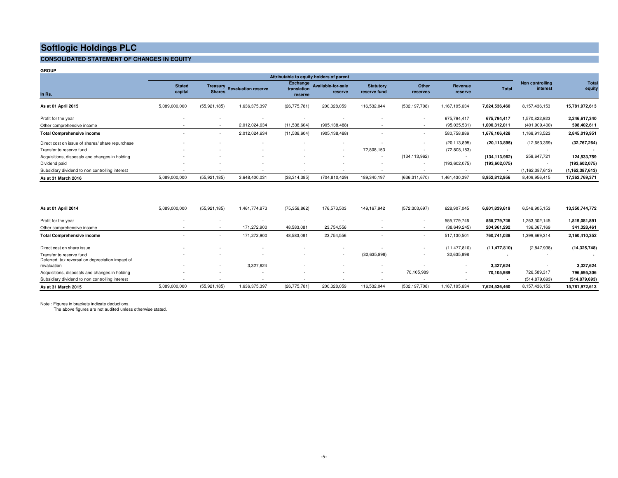#### **CONSOLIDATED STATEMENT OF CHANGES IN EQUITY**

| <b>GROUP</b>                                     |                          |                          |                              |                                           |                               |                                  |                          |                    |                 |                             |                        |
|--------------------------------------------------|--------------------------|--------------------------|------------------------------|-------------------------------------------|-------------------------------|----------------------------------|--------------------------|--------------------|-----------------|-----------------------------|------------------------|
|                                                  |                          |                          |                              | Attributable to equity holders of parent  |                               |                                  |                          |                    |                 |                             |                        |
| In Rs.                                           | <b>Stated</b><br>capital | <b>Shares</b>            | Treasury Revaluation reserve | <b>Exchange</b><br>translation<br>reserve | Available-for-sale<br>reserve | <b>Statutory</b><br>reserve fund | Other<br>reserves        | Revenue<br>reserve | <b>Total</b>    | Non controlling<br>interest | <b>Total</b><br>equity |
| As at 01 April 2015                              | 5,089,000,000            | (55, 921, 185)           | 1,636,375,397                | (26, 775, 781)                            | 200,328,059                   | 116,532,044                      | (502, 197, 708)          | 1,167,195,634      | 7,624,536,460   | 8,157,436,153               | 15,781,972,613         |
| Profit for the year                              |                          | $\overline{\phantom{a}}$ |                              | ٠                                         | $\sim$                        |                                  | ٠                        | 675,794,417        | 675,794,417     | 1,570,822,923               | 2,246,617,340          |
| Other comprehensive income                       | $\sim$                   | $\overline{a}$           | 2,012,024,634                | (11, 538, 604)                            | (905, 138, 488)               |                                  | $\overline{\phantom{a}}$ | (95,035,531)       | 1,000,312,011   | (401,909,400)               | 598,402,611            |
| <b>Total Comprehensive income</b>                |                          | $\overline{a}$           | 2,012,024,634                | (11,538,604)                              | (905, 138, 488)               |                                  | $\sim$                   | 580,758,886        | 1,676,106,428   | 1,168,913,523               | 2,845,019,951          |
| Direct cost on issue of shares/ share repurchase |                          |                          |                              | $\sim$                                    | - 14                          |                                  | ٠                        | (20, 113, 895)     | (20, 113, 895)  | (12,653,369)                | (32,767,264)           |
| Transfer to reserve fund                         | $\sim$                   | $\sim$                   |                              | $\sim$                                    |                               | 72,808,153                       | $\sim$                   | (72,808,153)       | $\blacksquare$  |                             |                        |
| Acquisitions, disposals and changes in holding   |                          |                          |                              | ٠                                         | ٠                             | <b>Section</b>                   | (134, 113, 962)          | $\sim$             | (134, 113, 962) | 258,647,721                 | 124,533,759            |
| Dividend paid                                    | $\sim$                   | $\sim$                   |                              | $\sim$                                    | $\sim$                        |                                  | ٠                        | (193, 602, 075)    | (193, 602, 075) | $\sim$                      | (193, 602, 075)        |
| Subsidiary dividend to non controlling interest  |                          | ٠                        |                              | ٠                                         |                               |                                  |                          |                    | $\blacksquare$  | (1, 162, 387, 613)          | (1, 162, 387, 613)     |
| As at 31 March 2016                              | 5,089,000,000            | (55, 921, 185)           | 3,648,400,031                | (38, 314, 385)                            | (704, 810, 429)               | 189,340,197                      | (636, 311, 670)          | 1,461,430,397      | 8,952,812,956   | 8,409,956,415               | 17,362,769,371         |
| As at 01 April 2014                              | 5,089,000,000            | (55, 921, 185)           | 1,461,774,873                | (75, 358, 862)                            | 176,573,503                   | 149,167,942                      | (572, 303, 697)          | 628,907,045        | 6,801,839,619   | 6,548,905,153               | 13,350,744,772         |
|                                                  |                          |                          |                              |                                           |                               |                                  |                          |                    |                 |                             |                        |

| Profit for the year                                                         |               |                          |               |                |             |                |                 | 555.779.746    | 555,779,746    | 1,263,302,145   | 1,819,081,891   |
|-----------------------------------------------------------------------------|---------------|--------------------------|---------------|----------------|-------------|----------------|-----------------|----------------|----------------|-----------------|-----------------|
| Other comprehensive income                                                  |               |                          | 171,272,900   | 48,583,081     | 23,754,556  |                |                 | (38, 649, 245) | 204,961,292    | 136,367,169     | 341,328,461     |
| <b>Total Comprehensive income</b>                                           |               | $\overline{\phantom{a}}$ | 171,272,900   | 48,583,081     | 23,754,556  |                |                 | 517,130,501    | 760,741,038    | 1,399,669,314   | 2,160,410,352   |
| Direct cost on share issue                                                  |               |                          |               |                |             |                |                 | (11, 477, 810) | (11, 477, 810) | (2,847,938)     | (14, 325, 748)  |
| Transfer to reserve fund<br>Deferred tax reversal on depreciation impact of |               |                          |               |                |             | (32, 635, 898) |                 | 32,635,898     |                |                 |                 |
| revaluation                                                                 |               |                          | 3,327,624     |                |             |                |                 |                | 3.327.624      |                 | 3,327,624       |
| Acquisitions, disposals and changes in holding                              |               |                          |               |                |             |                | 70,105,989      |                | 70.105.989     | 726.589.317     | 796,695,306     |
| Subsidiary dividend to non controlling interest                             |               |                          |               |                |             |                |                 |                |                | (514, 879, 693) | (514, 879, 693) |
| As at 31 March 2015                                                         | 5,089,000,000 | (55, 921, 185)           | 1,636,375,397 | (26, 775, 781) | 200,328,059 | 116,532,044    | (502, 197, 708) | 1,167,195,634  | 7,624,536,460  | 8,157,436,153   | 15,781,972,613  |

Note : Figures in brackets indicate deductions. The above figures are not audited unless otherwise stated.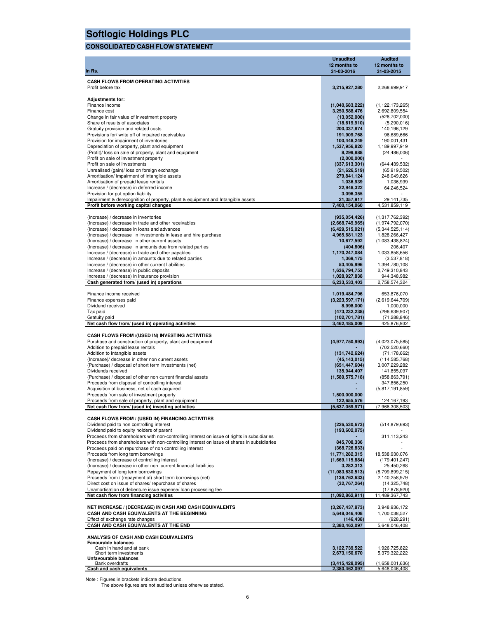### **CONSOLIDATED CASH FLOW STATEMENT**

| In Rs.                                                                                                                                   | <b>Unaudited</b><br>12 months to<br>31-03-2016 | <b>Audited</b><br>12 months to<br>31-03-2015 |
|------------------------------------------------------------------------------------------------------------------------------------------|------------------------------------------------|----------------------------------------------|
| <b>CASH FLOWS FROM OPERATING ACTIVITIES</b><br>Profit before tax                                                                         | 3,215,927,280                                  | 2,268,699,917                                |
|                                                                                                                                          |                                                |                                              |
| <b>Adjustments for:</b><br>Finance income                                                                                                | (1,040,683,222)                                | (1, 122, 173, 265)                           |
| Finance cost                                                                                                                             | 3,250,588,476                                  | 2,692,809,554                                |
| Change in fair value of investment property                                                                                              | (13,052,000)                                   | (526, 702, 000)                              |
| Share of results of associates                                                                                                           | (18,619,910)                                   | (5,290,016)                                  |
| Gratuity provision and related costs<br>Provisions for/write off of impaired receivables                                                 | 200,337,874<br>191,909,768                     | 140, 196, 129<br>96,689,666                  |
| Provision for impairment of inventories                                                                                                  | 100,448,249                                    | 190,001,431                                  |
| Depreciation of property, plant and equipment                                                                                            | 1,537,956,820                                  | 1,189,997,919                                |
| (Profit)/ loss on sale of property, plant and equipment                                                                                  | 8,299,888                                      | (24, 486, 006)                               |
| Profit on sale of investment property                                                                                                    | (2,000,000)                                    |                                              |
| Profit on sale of investments<br>Unrealised (gain)/ loss on foreign exchange                                                             | (337,613,301)<br>(21,626,519)                  | (644, 439, 532)<br>(65,919,502)              |
| Amortisation/ impairment of intangible assets                                                                                            | 279,841,124                                    | 248,049,626                                  |
| Amortisation of prepaid lease rentals                                                                                                    | 1,036,939                                      | 1,036,939                                    |
| Increase / (decrease) in deferred income                                                                                                 | 22,948,322                                     | 64,246,524                                   |
| Provision for put option liability                                                                                                       | 3,096,355                                      |                                              |
| Impairment & derecognition of property, plant & equipment and Intangible assets<br>Profit before working capital changes                 | 21,357,917<br>7,400,154,060                    | 29,141,735<br>4,531,859,119                  |
|                                                                                                                                          |                                                |                                              |
| (Increase) / decrease in inventories                                                                                                     | (935,054,426)                                  | (1,317,762,392)                              |
| (Increase) / decrease in trade and other receivables                                                                                     | (2,668,749,965)                                | (1,974,792,070)                              |
| (Increase) / decrease in loans and advances<br>(Increase) / decrease in investments in lease and hire purchase                           | (6,429,515,021)<br>4,965,681,123               | (5,344,525,114)<br>1,828,266,427             |
| (Increase) / decrease in other current assets                                                                                            | 10,677,592                                     | (1,083,438,824)                              |
| (Increase) / decrease in amounts due from related parties                                                                                | (404, 806)                                     | 206,407                                      |
| Increase / (decrease) in trade and other payables                                                                                        | 1,170,247,084                                  | 1,033,858,656                                |
| Increase / (decrease) in amounts due to related parties                                                                                  | 1,369,175                                      | (3,537,818)                                  |
| Increase / (decrease) in other current liabilities<br>Increase / (decrease) in public deposits                                           | 53,405,996<br>1,636,794,753                    | 1,394,780,108<br>2,749,310,843               |
| Increase / (decrease) in insurance provision                                                                                             | 1,028,927,838                                  | 944,348,982                                  |
| Cash generated from/ (used in) operations                                                                                                | 6,233,533,403                                  | 2,758,574,324                                |
|                                                                                                                                          |                                                |                                              |
| Finance income received                                                                                                                  | 1,019,484,796                                  | 653,876,070                                  |
| Finance expenses paid<br>Dividend received                                                                                               | (3,223,597,171)<br>8,998,000                   | (2,619,644,709)<br>1,000,000                 |
| Tax paid                                                                                                                                 | (473, 232, 238)                                | (296, 639, 907)                              |
| Gratuity paid                                                                                                                            | (102, 701, 781)                                | (71, 288, 846)                               |
| Net cash flow from/ (used in) operating activities                                                                                       | 3,462,485,009                                  | 425,876,932                                  |
| CASH FLOWS FROM /(USED IN) INVESTING ACTIVITIES                                                                                          |                                                |                                              |
| Purchase and construction of property, plant and equipment                                                                               | (4,977,750,993)                                | (4,023,075,585)                              |
| Addition to prepaid lease rentals                                                                                                        |                                                | (702, 520, 660)                              |
| Addition to intangible assets                                                                                                            | (131, 742, 624)                                | (71, 178, 662)                               |
| (Increase)/ decrease in other non current assets                                                                                         | (45, 143, 015)                                 | (114, 585, 768)                              |
| (Purchase) / disposal of short term investments (net)<br>Dividends received                                                              | (651, 447, 604)<br>135,944,407                 | 3,007,229,282<br>141,855,097                 |
| (Purchase) / disposal of other non current financial assets                                                                              | (1,589,575,718)                                | (858, 863, 791)                              |
| Proceeds from disposal of controlling interest                                                                                           |                                                | 347,856,250                                  |
| Acquisition of business, net of cash acquired                                                                                            |                                                | (5,817,191,859)                              |
| Proceeds from sale of investment property<br>Proceeds from sale of property, plant and equipment                                         | 1,500,000,000                                  | 124, 167, 193                                |
| Net cash flow from/ (used in) investing activities                                                                                       | 122,655,576<br><u>(5,637,059,971)</u>          | (7,966,308,503)                              |
|                                                                                                                                          |                                                |                                              |
| CASH FLOWS FROM / (USED IN) FINANCING ACTIVITIES                                                                                         |                                                |                                              |
| Dividend paid to non controlling interest                                                                                                | (226, 530, 673)                                | (514, 879, 693)                              |
| Dividend paid to equity holders of parent<br>Proceeds from shareholders with non-controlling interest on issue of rights in subsidiaries | (193, 602, 075)                                | 311,113,243                                  |
| Proceeds from shareholders with non-controlling interest on issue of shares in subsidiaries                                              | 845,708,336                                    |                                              |
| Proceeds paid on repurchase of non controlling interest                                                                                  | (368, 726, 833)                                |                                              |
| Proceeds from long term borrowings                                                                                                       | 11,771,282,315                                 | 18,538,930,076                               |
| (Increase) / decrease of controlling interest                                                                                            | (1,669,115,884)                                | (179, 401, 247)                              |
| (Increase) / decrease in other non current financial liabilities<br>Repayment of long term borrowings                                    | 3,282,313<br>(11,083,630,513)                  | 25,450,268<br>(8,799,899,215)                |
| Proceeds from / (repayment of) short term borrowings (net)                                                                               | (138, 762, 633)                                | 2,140,258,979                                |
| Direct cost on issue of shares/ repurchase of shares                                                                                     | (32, 767, 264)                                 | (14, 325, 748)                               |
| Unamortisation of debenture issue expense/ loan processing fee                                                                           |                                                | (17, 878, 920)                               |
| Net cash flow from financing activities                                                                                                  | (1,092,862,911)                                | 11,489,367,743                               |
| NET INCREASE / (DECREASE) IN CASH AND CASH EQUIVALENTS                                                                                   | (3,267,437,873)                                | 3,948,936,172                                |
| CASH AND CASH EQUIVALENTS AT THE BEGINNING                                                                                               | 5,648,046,408                                  | 1,700,038,527                                |
| Effect of exchange rate changes                                                                                                          | (146, 438)                                     | (928, 291)                                   |
| CASH AND CASH EQUIVALENTS AT THE END                                                                                                     | 2,380,462,097                                  | 5,648,046,408                                |
|                                                                                                                                          |                                                |                                              |
| ANALYSIS OF CASH AND CASH EQUIVALENTS<br><b>Favourable balances</b>                                                                      |                                                |                                              |
| Cash in hand and at bank                                                                                                                 | 3,122,739,522                                  | 1,926,725,822                                |
| Short term investments<br>Unfavourable balances                                                                                          | 2,673,150,670                                  | 5,379,322,222                                |
| <b>Bank overdrafts</b>                                                                                                                   | (3, 415, 428, 095)                             | (1,658,001,636)                              |
| Cash and cash equivalents                                                                                                                | 2,380,462,097                                  | 5,648,046,408                                |

Note : Figures in brackets indicate deductions. The above figures are not audited unless otherwise stated.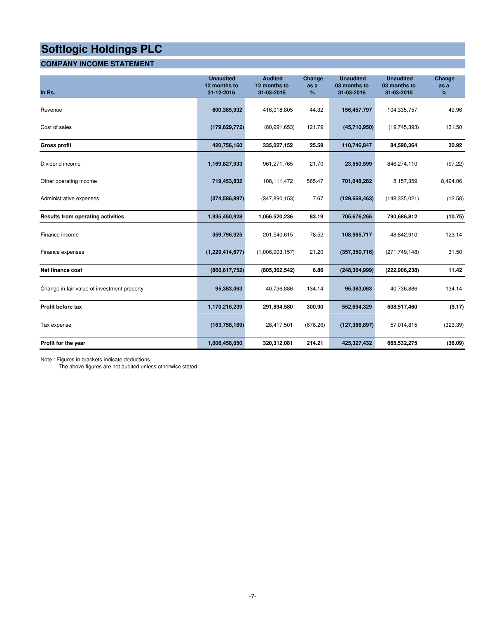#### **COMPANY INCOME STATEMENT**

| In Rs.                                      | <b>Unaudited</b><br>12 months to<br>31-12-2016 | <b>Audited</b><br>12 months to<br>31-03-2015 | Change<br>as a<br>% | <b>Unaudited</b><br>03 months to<br>31-03-2016 | <b>Unaudited</b><br>03 months to<br>31-03-2015 | Change<br>as a<br>% |
|---------------------------------------------|------------------------------------------------|----------------------------------------------|---------------------|------------------------------------------------|------------------------------------------------|---------------------|
| Revenue                                     | 600,385,932                                    | 416,018,805                                  | 44.32               | 156,457,797                                    | 104,335,757                                    | 49.96               |
| Cost of sales                               | (179, 629, 772)                                | (80, 991, 653)                               | 121.79              | (45,710,950)                                   | (19, 745, 393)                                 | 131.50              |
| <b>Gross profit</b>                         | 420,756,160                                    | 335,027,152                                  | 25.59               | 110,746,847                                    | 84,590,364                                     | 30.92               |
| Dividend income                             | 1,169,827,933                                  | 961,271,765                                  | 21.70               | 23,550,599                                     | 846,274,110                                    | (97.22)             |
| Other operating income                      | 719,453,832                                    | 108,111,472                                  | 565.47              | 701,048,282                                    | 8,157,359                                      | 8,494.06            |
| Administrative expenses                     | (374, 586, 997)                                | (347, 890, 153)                              | 7.67                | (129, 669, 463)                                | (148, 335, 021)                                | (12.58)             |
| Results from operating activities           | 1,935,450,928                                  | 1,056,520,236                                | 83.19               | 705,676,265                                    | 790,686,812                                    | (10.75)             |
| Finance income                              | 359,796,925                                    | 201,540,615                                  | 78.52               | 108,985,717                                    | 48,842,910                                     | 123.14              |
| Finance expenses                            | (1,220,414,677)                                | (1,006,903,157)                              | 21.20               | (357, 350, 716)                                | (271, 749, 148)                                | 31.50               |
| Net finance cost                            | (860, 617, 752)                                | (805, 362, 542)                              | 6.86                | (248, 364, 999)                                | (222, 906, 238)                                | 11.42               |
| Change in fair value of investment property | 95,383,063                                     | 40,736,886                                   | 134.14              | 95,383,063                                     | 40,736,886                                     | 134.14              |
| Profit before tax                           | 1,170,216,239                                  | 291,894,580                                  | 300.90              | 552,694,329                                    | 608,517,460                                    | (9.17)              |
| Tax expense                                 | (163, 758, 189)                                | 28,417,501                                   | (676.26)            | (127, 366, 897)                                | 57,014,815                                     | (323.39)            |
| Profit for the year                         | 1,006,458,050                                  | 320,312,081                                  | 214.21              | 425,327,432                                    | 665,532,275                                    | (36.09)             |

Note : Figures in brackets indicate deductions.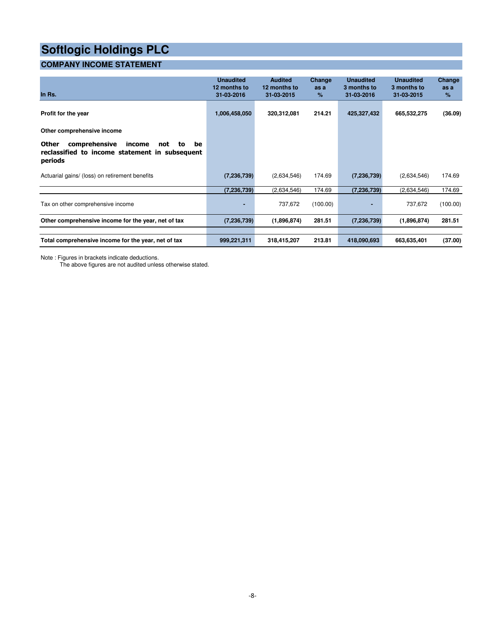#### **COMPANY INCOME STATEMENT**

| In Rs.                                                                                                           | <b>Unaudited</b><br>12 months to<br>31-03-2016 | <b>Audited</b><br>12 months to<br>31-03-2015 | Change<br>as a<br>$\%$ | <b>Unaudited</b><br>3 months to<br>31-03-2016 | <b>Unaudited</b><br>3 months to<br>31-03-2015 | Change<br>as a<br>% |
|------------------------------------------------------------------------------------------------------------------|------------------------------------------------|----------------------------------------------|------------------------|-----------------------------------------------|-----------------------------------------------|---------------------|
| Profit for the year                                                                                              | 1,006,458,050                                  | 320,312,081                                  | 214.21                 | 425,327,432                                   | 665,532,275                                   | (36.09)             |
| Other comprehensive income                                                                                       |                                                |                                              |                        |                                               |                                               |                     |
| Other<br>comprehensive<br>income<br>be<br>not<br>to<br>reclassified to income statement in subsequent<br>periods |                                                |                                              |                        |                                               |                                               |                     |
| Actuarial gains/ (loss) on retirement benefits                                                                   | (7, 236, 739)                                  | (2,634,546)                                  | 174.69                 | (7,236,739)                                   | (2,634,546)                                   | 174.69              |
|                                                                                                                  | (7, 236, 739)                                  | (2,634,546)                                  | 174.69                 | (7, 236, 739)                                 | (2,634,546)                                   | 174.69              |
| Tax on other comprehensive income                                                                                | ٠                                              | 737,672                                      | (100.00)               |                                               | 737,672                                       | (100.00)            |
| Other comprehensive income for the year, net of tax                                                              | (7, 236, 739)                                  | (1,896,874)                                  | 281.51                 | (7, 236, 739)                                 | (1,896,874)                                   | 281.51              |
|                                                                                                                  |                                                |                                              |                        |                                               |                                               |                     |
| Total comprehensive income for the year, net of tax                                                              | 999,221,311                                    | 318,415,207                                  | 213.81                 | 418,090,693                                   | 663,635,401                                   | (37.00)             |

Note : Figures in brackets indicate deductions.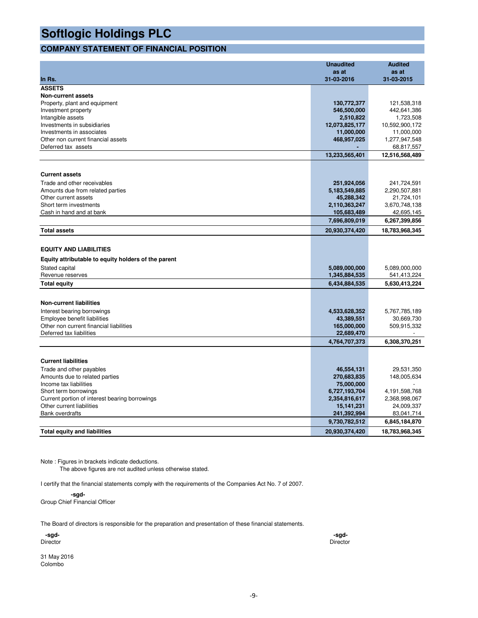#### **COMPANY STATEMENT OF FINANCIAL POSITION**

|                                                           | <b>Unaudited</b>             | <b>Audited</b>              |
|-----------------------------------------------------------|------------------------------|-----------------------------|
|                                                           | as at                        | as at                       |
| In Rs.                                                    | 31-03-2016                   | 31-03-2015                  |
| <b>ASSETS</b>                                             |                              |                             |
| <b>Non-current assets</b>                                 |                              |                             |
| Property, plant and equipment                             | 130,772,377                  | 121,538,318                 |
| Investment property                                       | 546,500,000                  | 442,641,386                 |
| Intangible assets                                         | 2,510,822                    | 1,723,508                   |
| Investments in subsidiaries                               | 12,073,825,177               | 10,592,900,172              |
| Investments in associates                                 | 11,000,000                   | 11,000,000                  |
| Other non current financial assets<br>Deferred tax assets | 468,957,025                  | 1,277,947,548<br>68,817,557 |
|                                                           |                              |                             |
|                                                           | 13,233,565,401               | 12,516,568,489              |
|                                                           |                              |                             |
| <b>Current assets</b>                                     |                              |                             |
| Trade and other receivables                               | 251,924,056                  | 241,724,591                 |
| Amounts due from related parties                          | 5,183,549,885                | 2,290,507,881               |
| Other current assets                                      | 45,288,342                   | 21,724,101                  |
| Short term investments                                    | 2,110,363,247                | 3,670,748,138               |
| Cash in hand and at bank                                  | 105,683,489<br>7,696,809,019 | 42,695,145<br>6,267,399,856 |
|                                                           |                              |                             |
| <b>Total assets</b>                                       | 20,930,374,420               | 18,783,968,345              |
|                                                           |                              |                             |
| <b>EQUITY AND LIABILITIES</b>                             |                              |                             |
| Equity attributable to equity holders of the parent       |                              |                             |
| Stated capital                                            | 5,089,000,000                | 5,089,000,000               |
| Revenue reserves                                          | 1,345,884,535                | 541,413,224                 |
| <b>Total equity</b>                                       | 6,434,884,535                | 5.630.413.224               |
|                                                           |                              |                             |
| <b>Non-current liabilities</b>                            |                              |                             |
| Interest bearing borrowings                               | 4,533,628,352                | 5,767,785,189               |
| Employee benefit liabilities                              | 43,389,551                   | 30,669,730                  |
| Other non current financial liabilities                   | 165,000,000                  | 509,915,332                 |
| Deferred tax liabilities                                  | 22,689,470                   |                             |
|                                                           | 4,764,707,373                | 6,308,370,251               |
|                                                           |                              |                             |
| <b>Current liabilities</b>                                |                              |                             |
| Trade and other payables                                  | 46,554,131                   | 29,531,350                  |
| Amounts due to related parties                            | 270,683,835                  | 148,005,634                 |
| Income tax liabilities                                    | 75,000,000                   |                             |
| Short term borrowings                                     | 6,727,193,704                | 4,191,598,768               |
| Current portion of interest bearing borrowings            | 2,354,816,617                | 2,368,998,067               |
| Other current liabilities                                 | 15,141,231                   | 24,009,337                  |
| <b>Bank overdrafts</b>                                    | 241,392,994                  | 83,041,714                  |
|                                                           | 9,730,782,512                | 6,845,184,870               |
| <b>Total equity and liabilities</b>                       | 20,930,374,420               | 18,783,968,345              |

Note : Figures in brackets indicate deductions.

The above figures are not audited unless otherwise stated.

I certify that the financial statements comply with the requirements of the Companies Act No. 7 of 2007.

 **-sgd-**

Group Chief Financial Officer

The Board of directors is responsible for the preparation and presentation of these financial statements.

| -sgd-    | -sgd-    |
|----------|----------|
| Director | Director |

31 May 2016 Colombo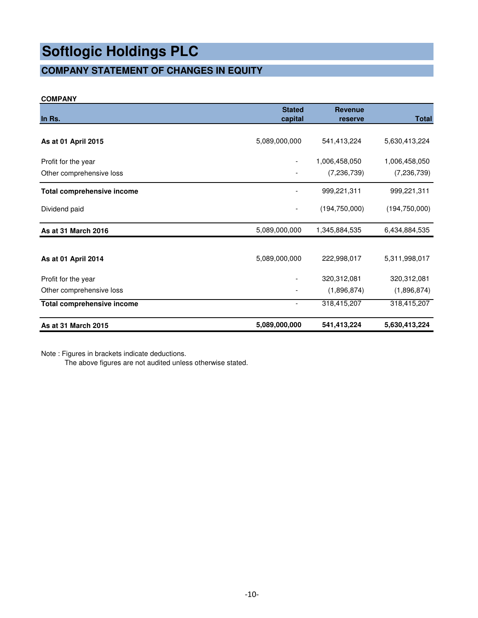### **COMPANY STATEMENT OF CHANGES IN EQUITY**

#### **COMPANY**

| In Rs.                            | <b>Stated</b><br>capital | <b>Revenue</b><br>reserve | <b>Total</b>    |
|-----------------------------------|--------------------------|---------------------------|-----------------|
|                                   |                          |                           |                 |
| As at 01 April 2015               | 5,089,000,000            | 541,413,224               | 5,630,413,224   |
| Profit for the year               |                          | 1,006,458,050             | 1,006,458,050   |
| Other comprehensive loss          |                          | (7, 236, 739)             | (7, 236, 739)   |
| <b>Total comprehensive income</b> |                          | 999,221,311               | 999,221,311     |
| Dividend paid                     |                          | (194, 750, 000)           | (194, 750, 000) |
| As at 31 March 2016               | 5,089,000,000            | 1,345,884,535             | 6,434,884,535   |
|                                   |                          |                           |                 |
| As at 01 April 2014               | 5,089,000,000            | 222,998,017               | 5,311,998,017   |
| Profit for the year               |                          | 320,312,081               | 320,312,081     |
| Other comprehensive loss          |                          | (1,896,874)               | (1,896,874)     |
| Total comprehensive income        |                          | 318,415,207               | 318,415,207     |
| As at 31 March 2015               | 5,089,000,000            | 541,413,224               | 5,630,413,224   |

Note : Figures in brackets indicate deductions.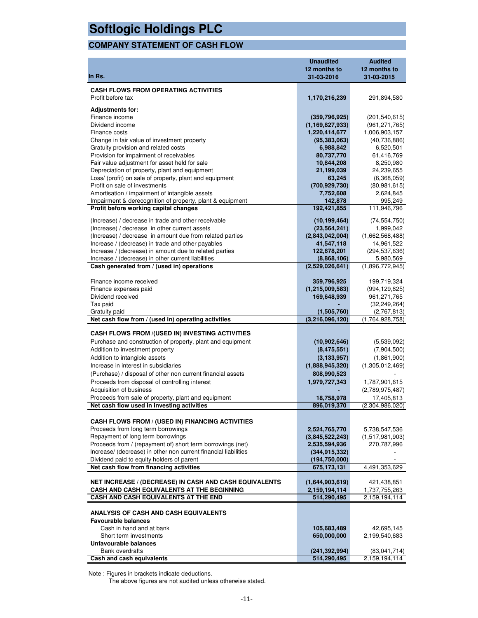### **COMPANY STATEMENT OF CASH FLOW**

|                                                                                                      | <b>Unaudited</b><br>12 months to | <b>Audited</b><br>12 months to |
|------------------------------------------------------------------------------------------------------|----------------------------------|--------------------------------|
| In Rs.                                                                                               | 31-03-2016                       | 31-03-2015                     |
| <b>CASH FLOWS FROM OPERATING ACTIVITIES</b>                                                          |                                  |                                |
| Profit before tax                                                                                    | 1,170,216,239                    | 291,894,580                    |
| <b>Adjustments for:</b>                                                                              |                                  |                                |
| Finance income                                                                                       | (359, 796, 925)                  | (201, 540, 615)                |
| Dividend income                                                                                      | (1, 169, 827, 933)               | (961, 271, 765)                |
| Finance costs                                                                                        | 1,220,414,677                    | 1,006,903,157                  |
| Change in fair value of investment property                                                          | (95, 383, 063)                   | (40, 736, 886)                 |
| Gratuity provision and related costs                                                                 | 6,988,842                        | 6,520,501                      |
| Provision for impairment of receivables                                                              | 80,737,770                       | 61,416,769                     |
| Fair value adjustment for asset held for sale                                                        | 10,844,208                       | 8,250,980                      |
| Depreciation of property, plant and equipment                                                        | 21,199,039                       | 24,239,655                     |
| Loss/ (profit) on sale of property, plant and equipment<br>Profit on sale of investments             | 63,245<br>(700, 929, 730)        | (6,368,059)<br>(80, 981, 615)  |
| Amortisation / impairment of intangible assets                                                       | 7,752,608                        | 2,624,845                      |
| Impairment & derecognition of property, plant & equipment                                            | 142,878                          | 995,249                        |
| Profit before working capital changes                                                                | 192,421,855                      | 111,946,796                    |
|                                                                                                      |                                  |                                |
| (Increase) / decrease in trade and other receivable<br>(Increase) / decrease in other current assets | (10, 199, 464)<br>(23, 564, 241) | (74, 554, 750)<br>1,999,042    |
| (Increase) / decrease in amount due from related parties                                             | (2,843,042,004)                  | (1,662,568,488)                |
| Increase / (decrease) in trade and other payables                                                    | 41,547,118                       | 14,961,522                     |
| Increase / (decrease) in amount due to related parties                                               | 122,678,201                      | (294, 537, 636)                |
| Increase / (decrease) in other current liabilities                                                   | (8,868,106)                      | 5,980,569                      |
| Cash generated from / (used in) operations                                                           | (2,529,026,641)                  | (1,896,772,945)                |
| Finance income received                                                                              | 359,796,925                      | 199,719,324                    |
| Finance expenses paid                                                                                | (1, 215, 009, 583)               | (994, 129, 825)                |
| Dividend received                                                                                    | 169,648,939                      | 961, 271, 765                  |
| Tax paid                                                                                             |                                  | (32, 249, 264)                 |
| Gratuity paid                                                                                        | (1,505,760)                      | (2,767,813)                    |
| Net cash flow from / (used in) operating activities                                                  | (3,216,096,120)                  | (1,764,928,758)                |
| CASH FLOWS FROM /(USED IN) INVESTING ACTIVITIES                                                      |                                  |                                |
| Purchase and construction of property, plant and equipment                                           | (10,902,646)                     | (5,539,092)                    |
| Addition to investment property                                                                      | (8,475,551)                      | (7,904,500)                    |
| Addition to intangible assets                                                                        | (3, 133, 957)                    | (1,861,900)                    |
| Increase in interest in subsidiaries                                                                 | (1,888,945,320)                  | (1,305,012,469)                |
| (Purchase) / disposal of other non current financial assets                                          | 808,990,523                      |                                |
| Proceeds from disposal of controlling interest                                                       | 1,979,727,343                    | 1,787,901,615                  |
| Acquisition of business                                                                              |                                  | (2,789,975,487)                |
| Proceeds from sale of property, plant and equipment                                                  | 18,758,978                       | 17,405,813                     |
| Net cash flow used in investing activities                                                           | 896,019,370                      | (2,304,986,020)                |
| <b>CASH FLOWS FROM / (USED IN) FINANCING ACTIVITIES</b>                                              |                                  |                                |
| Proceeds from long term borrowings                                                                   | 2,524,765,770                    | 5,738,547,536                  |
| Repayment of long term borrowings                                                                    | (3,845,522,243)                  | (1,517,981,903)                |
| Proceeds from / (repayment of) short term borrowings (net)                                           | 2,535,594,936                    | 270,787,996                    |
| Increase/ (decrease) in other non current financial liabilities                                      | (344, 915, 332)                  |                                |
| Dividend paid to equity holders of parent<br>Net cash flow from financing activities                 | (194, 750, 000)<br>675, 173, 131 | 4,491,353,629                  |
|                                                                                                      |                                  |                                |
| <b>NET INCREASE / (DECREASE) IN CASH AND CASH EQUIVALENTS</b>                                        | (1,644,903,619)                  | 421,438,851                    |
| CASH AND CASH EQUIVALENTS AT THE BEGINNING                                                           | 2,159,194,114                    | 1,737,755,263                  |
| CASH AND CASH EQUIVALENTS AT THE END                                                                 | 514,290,495                      | 2,159,194,114                  |
| ANALYSIS OF CASH AND CASH EQUIVALENTS                                                                |                                  |                                |
| <b>Favourable balances</b>                                                                           |                                  |                                |
| Cash in hand and at bank                                                                             | 105,683,489                      | 42,695,145                     |
| Short term investments                                                                               | 650,000,000                      | 2,199,540,683                  |
| Unfavourable balances                                                                                |                                  |                                |
| <b>Bank overdrafts</b><br>Cash and cash equivalents                                                  | (241,392,994)<br>514,290,495     | (83,041,714)<br>2,159,194,114  |
|                                                                                                      |                                  |                                |

Note : Figures in brackets indicate deductions.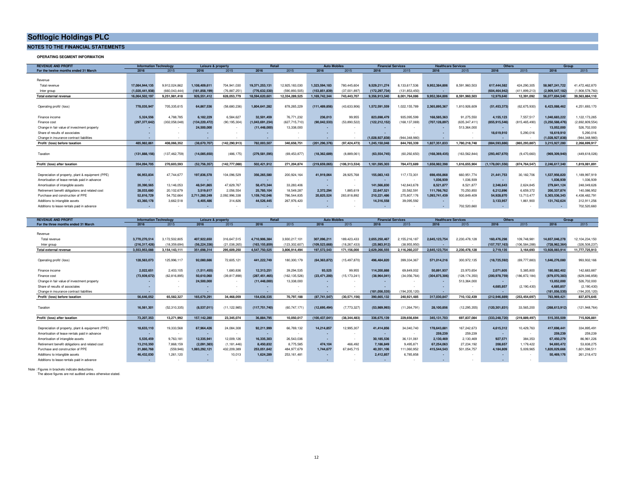#### **NOTES TO THE FINANCIAL STATEMENTS**

**OPERATING SEGMENT INFORMATION**

| <b>REVENUE AND PROFIT</b>                         | <b>Information Technology</b> |                 | Leisure & property |                 | Retail          |                 | <b>Auto Mobiles</b> |                | <b>Financial Services</b> |                 | <b>Healthcare Services</b> |                 | Others                   |                 | Group           |                 |
|---------------------------------------------------|-------------------------------|-----------------|--------------------|-----------------|-----------------|-----------------|---------------------|----------------|---------------------------|-----------------|----------------------------|-----------------|--------------------------|-----------------|-----------------|-----------------|
| For the twelve months ended 31 March              | 2016                          | 2015            | 2016               | 2015            | 2016            | 2015            | 2016                | 2015           | 2016                      | 2015            | 2016                       | 2015            | 2016                     | 2015            | 2016            | 2015            |
|                                                   |                               |                 |                    |                 |                 |                 |                     |                |                           |                 |                            |                 |                          |                 |                 |                 |
| Revenue                                           |                               |                 |                    |                 |                 |                 |                     |                |                           |                 |                            |                 |                          |                 |                 |                 |
| Total revenue                                     | 17.084.944.135                | 9.912.024.862   | 1.108.409.611      | 704.941.030     | 19.371.253.131  | 12.925.183.030  | 1.323.594.183       | 780.445.604    | 9.529.211.274             | 8.133.617.536   | 9.952.384.806              | 8.591.960.503   | 617.444.582              | 424.290.305     | 58.987.241.722  | 41.472.462.870  |
| Inter group                                       | (1.020.441.938)               | (660.043.444)   | (181, 858, 199     | (76.887.251)    | (776,632,530    | (590.893.505)   | (153, 851, 83)      | (37,001,897)   | (172,297,734              | (131.853.450)   |                            |                 | (604, 464, 942)          | (411.899.213)   | (2,909,547,182  | 1,908,578,760)  |
| Total external revenue                            | 16.064.502.197                | 9.251.981.418   | 926,551,412        | 628.053.779     | 18.594.620.60   | 12.334.289.525  | 1.169.742.344       | 743,443,707    | 9.356.913.540             | 8.001.764.086   | 9.952.384.806              | 8.591.960.503   | 12.979.640               | 12.391.092      | 56,077,694,540  | 39.563.884.110  |
|                                                   |                               |                 |                    |                 |                 |                 |                     |                |                           |                 |                            |                 |                          |                 |                 |                 |
| Operating profit/ (loss)                          | 778,035,947                   | 705,335,615     | 64,867,536         | (58,680,236)    | 1.804.641.282   | 878,265,229     | (111,489,856        | (43, 633, 906) | 1.572.591.559             | 1,022,155,789   | 2,365,895,367              | 1,810,926,609   | (51, 453, 373)           | (62, 675, 930)  | 6,423,088,462   | 4,251,693,170   |
|                                                   |                               |                 |                    |                 |                 |                 |                     |                |                           |                 |                            |                 |                          |                 |                 |                 |
| Finance income                                    | 5.324.556                     | 4.788.785       | 6.182.229          | 6.584.627       | 32,501,459      | 76.771.232      | 236,013             | 99.955         | 823,698,479               | 935.095.599     | 168.585.363                | 91.275.550      | 4.155.123                | 7.557.517       | 1.040.683.222   | 1.122.173.265   |
| Finance cost                                      | (297, 377, 642)               | (302, 058, 048) | (134, 220, 472)    | (90,195,304)    | (1,043,691,234) | (627, 715, 710) | (90,042,533         | (53,890,522)   | (122,212,152              | (168, 137, 069) | (707,128,897)              | (635, 347, 411) | (855, 915, 546)          | (815, 465, 490) | (3,250,588,476) | (2,692,809,554) |
| Change in fair value of investment property       |                               |                 | 24,500,000         |                 | (11.448.000)    | 13.338.000      |                     |                |                           |                 |                            | 513.364.000     |                          |                 | 13.052.000      | 526,702,000     |
| Share of results of associates                    |                               |                 |                    |                 |                 |                 |                     |                |                           |                 |                            |                 | 18.619.910               | 5.290.016       | 18,619,910      | 5,290,016       |
| Change in insurance contract liabilities          |                               |                 |                    |                 |                 |                 |                     |                | (1.028.927.83             | (944.348.980)   |                            |                 |                          |                 | (1.028.927.838  | (944, 348, 980  |
| Profit/ (loss) before taxation                    | 485.982.861                   | 408.066.352     | (38,670,707        | (142.290.913)   | 782.003.507     | 340,658,751     | (201.296.376        | (97.424.473)   | 1.245.150.048             | 844.765.339     | 1.827.351.833              | 1,780,218,748   | (884,593,886             | (865,293,887    | 3.215.927.280   | 2,268,699,917   |
|                                                   |                               |                 |                    |                 |                 |                 |                     |                |                           |                 |                            |                 |                          |                 |                 |                 |
| Taxation                                          | (131, 888, 156)               | (137.462.759)   | (14,085,650)       | (486, 175)      | (279, 581, 595) | (69, 453, 877)  | (18, 362, 689)      | (8,889,061)    | (63, 554, 745)            | (60, 292, 650)  | (168, 369, 435)            | (163, 562, 844) | (293,467,670             | (9,470,660)     | (969.309.940)   | (449,618,026)   |
|                                                   |                               |                 |                    |                 |                 |                 |                     |                |                           |                 |                            |                 |                          |                 |                 |                 |
| Profit/ (loss) after taxation                     | 354.094.705                   | 270.603.593     | (52, 756, 357)     | (142, 777, 088) | 502.421.912     | 271.204.874     | (219,659,065        | (106.313.534)  | 1.181.595.303             | 784.472.689     | 1.658.982.398              | 1.616.655.904   | (1, 178, 061, 556)       | (874,764,547)   | 2.246.617.340   | 1.819.081.891   |
|                                                   |                               |                 |                    |                 |                 |                 |                     |                |                           |                 |                            |                 |                          |                 |                 |                 |
| Depreciation of property, plant & equipment (PPE) | 66.953.834                    | 47,744,677      | 197,836,578        | 104.096.529     | 356.265.580     | 200.924.164     | 41.919.064          | 28.925.768     | 155,083,143               | 117.172.301     | 698,456,868                | 660.951.774     | 21,441,753               | 30.182.706      | 1.537.956.820   | 1.189.997.919   |
| Amortisation of lease rentals paid in advance     | . .                           |                 |                    |                 |                 |                 |                     |                |                           |                 | 1,036,939                  | 1,036,939       | $\overline{\phantom{a}}$ |                 | 1,036,939       | 1,036,939       |
| Amortisation of intangible assets                 | 20,390,565                    | 13.146.053      | 48.541.865         | 47,629,767      | 58,473,344      | 33.283.406      |                     |                | 141.566.830               | 142.843.678     | 8.521.877                  | 8.521.877       | 2.346,643                | 2.624.845       | 279,841,124     | 248,049,626     |
| Retirement benefit obligations and related cost   | 28.033.680                    | 20.102.679      | 3.519.617          | 2.056.554       | 25,785,104      | 18,549,287      | 2.372.294           | 1.885.619      | 22.647.521                | 20,582,591      | 111.766.762                | 70.250.850      | 6.212.896                | 6.659.372       | 200.337.874     | 140.086.952     |
| Purchase and construction of PPE                  | 52.816.729                    | 54,752,664      | 2.711.260.249      | 2,092,996,338   | 1.159.742.046   | 786.544.835     | 20.825.524          | 283,818,892    | 210.221.486               | 275,807,176     | 1.093.741.439              | 930.849.409     | 54.928.870               | 13.713.477      | 5,303,536,343   | 4,438,482,791   |
| Additions to intangible assets                    | 63,360,178                    | 3,662,518       | 6,405,486          | 314.826         | 44.526.445      | 267,976,420     |                     |                | 14,316,558                | 39,095,592      |                            |                 | 3,133,957                | 1,861,900       | 131.742.624     | 312.911.256     |
| Additions to lease rentals paid in advance        | ٠.                            |                 |                    |                 |                 |                 |                     |                |                           |                 |                            | 702,520,660     | $\overline{\phantom{a}}$ |                 |                 | 702,520,660     |

| <b>REVENUE AND PROFIT</b>                         | <b>Information Technology</b> |               | Leisure & property |                | Retail          |                 | <b>Auto Mobiles</b> |                | <b>Financial Services</b> |                |                 | <b>Healthcare Services</b> | <b>Others</b>   |                |                 | Group           |
|---------------------------------------------------|-------------------------------|---------------|--------------------|----------------|-----------------|-----------------|---------------------|----------------|---------------------------|----------------|-----------------|----------------------------|-----------------|----------------|-----------------|-----------------|
| For the three months ended 31 March               | 2016                          | 2015          | 2016               | 2015           | 2016            | 2015            | 2016                | 2015           | 2016                      | 2015           | 2016            | 2015                       | 2016            | 2015           | 2016            | 2015            |
|                                                   |                               |               |                    |                |                 |                 |                     |                |                           |                |                 |                            |                 |                |                 |                 |
| Revenue                                           |                               |               |                    |                |                 |                 |                     |                |                           |                |                 |                            |                 |                |                 |                 |
| Total revenue                                     | 3.770.270.514                 | 3,172,502,805 | 407.922.650        | 316.647.515    | 4.710.906.384   | 3.930.217.101   | 307.096.211         | 189.423.433    | 2.655.250.467             | 2.155.216.187  | 2.645.123.754   | 2,230,478,128              | 160.476.298     | 109.748.981    | 14.657.046.278  | 12.104.234.150  |
| Inter group                                       | (216.317.426)                 | (18.359.694)  | (56,224,336        | (21.038.265)   | (163.155.859    | (123.302.607)   | (109.523.668        | (18.267.433)   | (25.983.912)              | (38.955.950)   |                 |                            | (157, 757, 163) | (106.584.288)  | (728,962,364)   | (326,508,237    |
| <b>Total external revenue</b>                     | 3,553,953,088                 | 3.154.143.111 | 351,698,314        | 295.609.250    | 4.547.750.525   | 3.806.914.494   | 197.572.543         | 171.156.000    | 2,629,266,555             | 2,116,260,237  | 2,645,123,754   | 2.230.478.128              | 2,719,135       | 3.164.693      | 13.928.083.914  | 1,777,725,913   |
|                                                   |                               |               |                    |                |                 |                 |                     |                |                           |                |                 |                            |                 |                |                 |                 |
| Operating profit/ (loss)                          | 128,563,073                   | 125.996.117   | 92.080.686         | 72.605.121     | 441.222.749     | 180,300.179     | (64.363.872)        | (15.497.870)   | 496,484,820               | 399.334.367    | 571.014.216     | 300.972.135                | (18, 725, 592)  | (69,777,883)   | 1.646.276.080   | 993.932.166     |
|                                                   |                               |               |                    |                |                 |                 |                     |                |                           |                |                 |                            |                 |                |                 |                 |
| Finance income                                    | 2.022.651                     | 2,403,105     | (1,511,455)        | 1,680,836      | 12,313,251      | 39.294.535      | 93.525              | 99.955         | 114,200,888               | 69,849,002     | 50.891.937      | 23.970.654                 | 2.071.605       | 5.385.800      | 180,082,402     | 142,683,887     |
| Finance cost                                      | (73, 939, 672)                | (62.816.895)  | 50.610.060         | (39.817.898)   | (287, 451, 465) | (162, 135, 526) | (23.471.200         | (15, 173, 241) | (38.964.041               | (34.056.764)   | (304, 875, 306) | (128, 174, 350)            | (200, 978, 759) | 186, 872, 184) | (879,070,383)   | (629,046,858    |
| Change in fair value of investment property       |                               |               | 24,500,000         |                | (11.448.000     | 13,338,000      |                     |                |                           |                |                 | 513.364.000                |                 |                | 13.052.000      | 526,702,000     |
| Share of results of associates                    |                               |               |                    |                |                 |                 |                     |                |                           |                |                 |                            | 4.685.857       | (2.190.430)    | 4.685.857       | (2, 190, 430)   |
| Change in insurance contract liabilities          |                               |               |                    |                |                 |                 |                     |                | (181.056.535)             | (194.205.120)  |                 |                            |                 |                | (181.056.535)   | 194.205.120     |
| Profit/ (loss) before taxation                    | 56.646.052                    | 65.582.327    | 165.679.291        | 34.468.059     | 154,636,535     | 70.797.188      | (87,741,547         | (30.571.156)   | 390.665.132               | 240.921.485    | 317.030.847     | 710.132.439                | (212,946,889    | (253.454.697)  | 783.969.421     | 837.875.645     |
|                                                   |                               |               |                    |                |                 |                 |                     |                |                           |                |                 |                            |                 |                |                 |                 |
| Taxation                                          | 16.561.301                    | (52,310,335)  | (8,537,011)        | (11, 122, 985) | (117, 751, 740) | (60, 747, 171)  | (12,695,494)        | (7,773,327)    | (53,989,993)              | (11, 264, 791) | 28,100,856      | (12, 295, 355)             | (120, 301, 831) | 33.565.200     | (268, 613, 912) | (121, 948, 764) |
|                                                   |                               |               |                    |                |                 |                 |                     |                |                           |                |                 |                            |                 |                |                 |                 |
| Profit/ (loss) after taxation                     | 73.207.353                    | 13.271.992    | 157,142,280        | 23.345.074     | 36.884.795      | 10.050.017      | (100.437.041        | (38.344.483)   | 336,675,139               | 229.656.694    | 345.131.703     | 697.837.084                | (333,248,720    | (219,889,497)  | 515.355.509     | 715.926.881     |
|                                                   |                               |               |                    |                |                 |                 |                     |                |                           |                |                 |                            |                 |                |                 |                 |
| Depreciation of property, plant & equipment (PPE) | 18,633,110                    | 19,333,568    | 67.964.426         | 24,084,308     | 92.211.999      | 66,769,132      | 14.214.857          | 12,995,307     | 41,414,856                | 34,040,740     | 178,643,881     | 167.242.673                | 4,615,312       | 10,429,763     | 417.698.441     | 334,895,491     |
| Amortisation of lease rentals paid in advance     |                               |               |                    |                |                 |                 |                     |                |                           |                | 259,239         | 259,239                    | . .             |                | 259,239         | 259,239         |
| Amortisation of intangible assets                 | 5.535.459                     | 9.763.181     | 12.335.941         | 12.009.126     | 16,335,303      | 26.543.036      |                     | $\sim$         | 30,185,536                | 36,131,061     | 2,130,469       | 2.130.469                  | 927,571         | 384,353        | 67.450.279      | 86,961,226      |
| Retirement benefit obligations and related cost   | 13.210.350                    | 7,868,159     | (2,091,383)        | (1, 181, 446)  | 8,450,832       | 8,775,585       | 474.104             | 466.492        | 7.186.849                 | 9,495,871      | 67.254.063      | 27.234.192                 | 208,657         | 1,179,422      | 94,693,472      | 53,838,275      |
| Purchase and construction of PPE                  | 21.860.768                    | (559.946)     | 1.083.292.121      | 432,209,389    | 253.051.642     | 484.977.679     | 1.744.677           | 67.845.715     | 40.351.106                | 111,060,952    | 415.544.543     | 501,054,757                | 4.184.809       | 5,009,965      | 1.820.029.666   | 1,601,598,511   |
| Additions to intangible assets                    | 46.432.030                    | 1.261.120     |                    | 10.013         | 1.624.289       | 253.161.481     | $\sim$              |                | 2,412,857                 | 6,785,858      |                 | $\sim$                     | $\sim$          |                | 50.469.176      | 261,218,472     |
| Additions to lease rentals paid in advance        | $\overline{\phantom{a}}$      |               |                    |                | . .             |                 |                     |                |                           |                |                 |                            |                 |                |                 |                 |

Note : Figures in brackets indicate deductions. The above figures are not audited unless otherwise stated.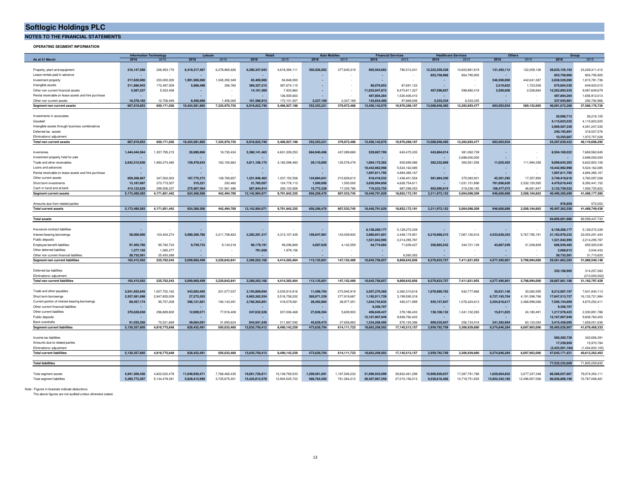**NOTES TO THE FINANCIAL STATEMENTS**

**OPERATING SEGMENT INFORMATION**

|                                                     | <b>Information Technology</b> |               | Leisure        |               | <b>Retail</b>  |                | <b>Auto Mobile</b> |               | <b>Financial Services</b> |                   | <b>Healthcare Services</b> |                | <b>Others</b>              |                | Group           |                 |
|-----------------------------------------------------|-------------------------------|---------------|----------------|---------------|----------------|----------------|--------------------|---------------|---------------------------|-------------------|----------------------------|----------------|----------------------------|----------------|-----------------|-----------------|
| As at 31 March                                      | 2016                          | 2015          | 2016           | 2015          | 2016           | 2015           | 2016               | 2015          | 2016                      | 2015              | 2016                       | 2015           | 2016                       | 2015           | 2016            | 2015            |
|                                                     |                               |               |                |               |                |                |                    |               |                           |                   |                            |                |                            |                |                 |                 |
| Property, plant and equipment                       | 216,147,508                   | 226,953,170   | 8,419,317,467  | 6,278,865,626 | 6,290,347,043  | 4,618,394,111  | 350,026,052        | 377,645,319   | 905,564,682               | 780,512,241       | 12,322,259,328             | 10,823,681,819 | 131,493,112                | 122,259,126    | 28,635,155,192  | 23,228,311,412  |
| Lease rentals paid in advance                       |                               |               |                |               |                |                |                    |               |                           |                   | 853,758,966                | 854,795,905    |                            |                | 853,758,966     | 854,795,905     |
| Investment property                                 | 217,620,000                   | 233,000,000   | 1.991.000.000  | 1.045.292.349 | 83.400.000     | 94.848.000     |                    |               |                           |                   |                            |                | 546,500,000                | 442.641.387    | 2.838.520.000   | 1,815,781,736   |
| Intangible assets                                   | 211,886,943                   | 172,487,509   | 5,808,498      | 356,760       | 369,327,215    | 387,674,115    |                    |               | 86,070,852                | 87,691,123        | ٠                          |                | 2,510,822                  | 1,723,508      | 675,604,330     | 649,933,015     |
| Other non current financial assets                  | 5,587,237                     | 5,023,408     |                |               | 14,161,569     | 7,403,862      |                    |               | 11,833,047,872            | 8,473,811,327     | 407,596,857                | 598,882,418    | 2,500,000                  | 2,528,664      | 12,262,893,535  | 9,087,649,679   |
| Rental receivable on lease assets and hire purchase |                               |               |                |               |                | 126,505,603    |                    |               | 487,804,264               | 1,530,406,410     |                            |                |                            |                | 487.804.264     | 1,656,912,013   |
| Other non current assets                            | 16,578,165                    | 12,706,949    | 8.456.000      | 1.456.000     | 161.586.913    | 172,101,507    | 2.327,169          | 2.327.169     | 143.654.400               | 97,868,006        | 5.333.334                  | 6.333.335      |                            |                | 337.935.981     | 292.792.966     |
| Segment non current assets                          | 667,819,853                   | 650,171,036   | 10,424,581,965 | 7,325,970,735 | 6,918,822,740  | 5,406,927,198  | 352,353,221        | 379,972,488   | 13,456,142,070            | 10,970,289,107    | 13,588,948,485             | 12,283,693,477 | 683,003,934                | 569,152,685    | 46,091,672,268  | 37,586,176,726  |
|                                                     |                               |               |                |               |                |                |                    |               |                           |                   |                            |                |                            |                |                 |                 |
| Investments in associates                           |                               |               |                |               |                |                |                    |               |                           |                   |                            |                |                            |                | 30.086.712      | 26,216,105      |
| Goodwill                                            |                               |               |                |               |                |                |                    |               |                           |                   |                            |                |                            |                | 4,115,823,525   | 4,115,823,525   |
|                                                     |                               |               |                |               |                |                |                    |               |                           |                   |                            |                |                            |                |                 |                 |
| Intangible assets through business combinatinos     |                               |               |                |               |                |                |                    |               |                           |                   |                            |                |                            |                | 3,909,507,339   | 4,091,247,335   |
| Deferred tax assets                                 |                               |               |                |               |                |                |                    |               |                           |                   |                            |                |                            |                | 240,193,891     | 318,527,576     |
| Eliminations/ adjustment                            |                               |               |                |               |                |                |                    |               |                           |                   |                            |                |                            |                | 10,355,687      | 1,972,707,028   |
| Total non current assets                            | 667.819.853                   | 650.171.036   | 10.424.581.965 | 7,325,970,735 | 6.918.822.740  | 5.406.927.198  | 352.353.221        | 379,972,488   | 13,456,142,070            | 10,970,289,107    | 13,588,948,485             | 12.283.693.477 | 683,003,934                |                | 54,397,639,422  | 48,110,698,295  |
|                                                     |                               |               |                |               |                |                |                    |               |                           |                   |                            |                |                            |                |                 |                 |
| Inventories                                         | 1,444,444,564                 | 1,357,795,215 | 20,890,866     | 18,730,434    | 5,380,141,463  | 4,831,209,253  | 684,940,406        | 437,289,869   | 529,887,709               | 643,475,335       | 443,864,014                | 381,062,739    |                            |                | 8,504,169,022   | 7,669,562,845   |
| Investment property held for sale                   |                               |               |                |               |                |                |                    |               |                           |                   |                            | 2,698,000,000  |                            |                |                 | 2,698,000,000   |
| Trade and other receivables                         | 2.642.515.836                 | 1.893.274.480 | 139,479,643    | 163.100.663   | 4.811.106.175  | 3.182.598.483  | 29.110.895         | 135,578,478   | 1.084.172.382             | 835,695,086       | 382.232.969                | 300.561.558    | 11.025.403                 | 111.994.358    | 9.099.643.303   | 6,622,803,106   |
| Loans and advances                                  |                               |               |                |               |                |                |                    |               | 10.442.982.998            | 5,524,162,085     |                            |                |                            |                | 10.442.982.998  | 5,524,162,085   |
| Rental receivable on lease assets and hire purchase | $\sim$                        |               | ×.             |               |                |                |                    | $\mathbf{r}$  | 1,097,811,795             | 4,894,385,167     | $\overline{\phantom{a}}$   |                |                            |                | 1,097,811,795   | 4,894,385,167   |
| Other current assets                                | 659,208,867                   | 347,502,003   | 187,775,272    | 128,769.657   | 1.231.946.462  | 1.237.152.558  | 124.884.841        | 215.829.612   | 918,418,532               | 1,438,401,554     | 581.884.350                | 375.083.931    | 45.301.292                 | 17,357,893     | 3.749.419.616   | 3,760,097,208   |
| Short term investments                              | 13,187,687                    | 273,773,507   | 315,221        | 332,460       | 31,765,057     | 124,778,113    | 1,500,000          | 1,500,000     | 3,650,994,858             | 4,628,754,611     |                            | 1,031,151,896  | 781,856,620                | 2,332,150,565  | 4,479,619,443   | 8,392,441,152   |
| Cash in hand and at bank                            | 414,123,629                   | 299,506,237   | 275,907,504    | 131,561,486   | 687,944,914    | 326,103,928    | 15,772,328         | 17,335,786    | 716,522,755               | 887,298,353       | 903,990,819                | 218,238,185    |                            | 46,681,847     | 3,122,739,522   | 1,926,725,822   |
| <b>Segment current assets</b>                       | 5,173,480,583                 | 4,171,851,442 | 624,368,506    | 442,494,700   | 12,142,904,071 | 9,701,842,335  | 856,208,470        | 807,533,745   | 18,440,791,029            | 18,852,172,191    | 2,311,972,152              | 5,004,098,309  | 108,477,573<br>946,660,888 | 2,508,184,663  | 40,496,385,699  | 41.488.177.385  |
|                                                     |                               |               |                |               |                |                |                    |               |                           |                   |                            |                |                            |                |                 |                 |
|                                                     |                               |               |                |               |                |                |                    |               |                           |                   |                            |                |                            |                |                 |                 |
| Amounts due from related parties                    |                               |               |                |               |                |                |                    |               |                           |                   |                            |                |                            |                | 976,859         | 572,053         |
| <b>Total current assets</b>                         | 5,173,480,583                 | 4,171,851,442 | 624,368,506    | 442,494,700   | 12,142,904,071 | 9,701,842,335  | 856,208,470        | 807,533,745   | 18,440,791,029            | 18,852,172,191    | 2,311,972,152              | 5,004,098,309  | 946,660,888                | 2,508,184,663  | 40,497,362,558  | 41,488,749,438  |
|                                                     |                               |               |                |               |                |                |                    |               |                           |                   |                            |                |                            |                | 94.895.001.980  |                 |
| <b>Total assets</b>                                 |                               |               |                |               |                |                |                    |               |                           |                   |                            |                |                            |                |                 | 89.599.447.733  |
|                                                     |                               |               |                |               |                |                |                    |               |                           |                   |                            |                |                            |                |                 |                 |
| Insurance contract liabilities                      |                               |               |                |               |                |                |                    |               | 6,158,200,177             | 5,129,272,339     |                            |                |                            |                | 6,158,200,177   | 5,129,272,339   |
| Interest bearing borrowings                         | 38,000,000                    | 103,404,274   | 5,090,200,766  | 3,211,708,823 | 2,292,291,317  | 4,313,107,439  | 109,047,981        | 143,009,930   | 2,880,841,601             | 2,448,174,951     | 6,219,968,215              | 7,067,100,816  | 4,533,628,352              | 5,767,785,191  | 21,163,978,232  | 23,054,291,424  |
| Public deposits                                     | $\sim$                        |               |                |               |                |                |                    |               | 1.521.942.995             | 2,214,295,787     |                            |                |                            |                | 1.521.942.995   | 2,214,295,787   |
| Employee benefit liabilities                        | 97,405,766                    | 95,782,724    | 9,759,733      | 9,134,018     | 96,179,191     | 99,296,869     | 4,087,620          | 4,142,559     | 84,774,084                | 71,639,427        | 350,865,542                | 344,721,139    | 43,867,549                 | 31,208,809     | 686,939,485     | 655,925,545     |
| Other deferred liabilities                          | 1,277,155                     | 1,065,277     |                |               | 791,658        | 1,979,156      |                    |               |                           |                   |                            |                |                            |                | 2,068,813       | 3,044,433       |
| Other non current financial liabilities             | 28.732.581                    | 25.450.268    |                |               |                |                |                    |               |                           | 6.260.352         |                            |                |                            |                | 28.732.581      | 31,710,620      |
| Segment non current liabilities                     | 165,415,502                   | 225,702,543   | 5,099,960,499  | 3,220,842,841 | 2,389,262,166  | 4,414,383,464  | 113,135,601        | 147,152,489   | 10,645,758,857            | 9,869,642,856     | 6,570,833,757              | 7,411,821,955  | 4,577,495,901              | 5,798,994,000  | 29,561,862,283  | 31,088,540,148  |
|                                                     |                               |               |                |               |                |                |                    |               |                           |                   |                            |                |                            |                |                 |                 |
| Deferred tax liabilities                            |                               |               |                |               |                |                |                    |               |                           |                   |                            |                |                            |                | 325,198,905     | 314,257,283     |
| Eliminations/ adjustment                            |                               |               |                |               |                |                |                    |               |                           |                   |                            |                |                            |                |                 | (210,000,002    |
| <b>Total non current liabilities</b>                | 165,415,502                   | 225,702,543   | 5,099,960,499  | 3,220,842,841 | 2,389,262,166  | 4,414,383,464  | 113,135,601        | 147,152,489   | 10,645,758,857            | 9,869,642,856     | 6,570,833,757              | 7,411,821,955  | 4,577,495,901              | 5,798,994,000  | 29,887,061,188  | 31.192.797.429  |
|                                                     |                               |               |                |               |                |                |                    |               |                           |                   |                            |                |                            |                |                 |                 |
| Trade and other payables                            | 2,041,655,645                 | 1,507,752,162 | 343,083,465    | 201,077,037   | 2,193,869,094  | 2,035,910,916  | 11,596,704         | 273,945,919   | 2,507,270,360             | 2,360,310,618     | 1,078,980,783              | 632,777,866    | 35,631,146                 | 30,065,595     | 8,212,087,197   | 7,041,840,113   |
|                                                     |                               |               |                |               |                |                |                    |               |                           |                   |                            |                |                            |                |                 |                 |
| Short term borrowings                               | 2,557,581,098                 | 2,947,855,009 | 27,273,303     |               | 6,983,382,554  | 5,516,758,202  | 360,071,339        | 277,919,687   | 1,192,011,729             | 3,199,590,318     |                            |                | 6,727,193,704              | 4,191,598,768  | 17,847,513,727  | 16,133,721,984  |
| Current portion of interest bearing borrowings      | 69,457,174                    | 95,757,208    | 396,121,561    | 194,143,391   | 2,766,364,891  | 418,579,581    | 28,492,884         | 28,977,351    | 1,044,743,835             | 492,471,999       | 935, 157, 847              | 1,076,324,813  | 2,354,816,617              | 2,368,998,068  | 7,595,154,809   | 4,675,252,411   |
| Other current financial liabilities                 |                               |               |                |               |                |                |                    |               | 9.356.707                 |                   |                            |                |                            |                | 9.356.707       |                 |
| Other current liabilities                           | 370,628,638                   | 296,889,800   | 12,909,571     | 77,916,408    | 247,632,528    | 207,006,468    | 27,838,304         | 5,609,903     | 406,649,427               | 378,186,433       | 136, 108, 132              | 1,341,102,283  | 15,811,823                 | 24,180,491     | 1,217,578,423   | 2,330,891,786   |
| Public deposits                                     |                               |               |                |               |                |                |                    |               | 12,167,907,949            | 9,838,760,403     | ٠                          |                |                            |                | 12,167,907,949  | 9,838,760,403   |
| Bank overdrafts                                     | 91.035.250                    | 70.521.669    | 49.064.591     | 31,895,624    | 844,501,345    | 311.887.092    | 45.629.473         | 27.658.863    | 1.334.268.495             | 876.193.386       | 809.535.947                | 256.724.918    | 241.392.994                | 83.120.084     | 3.415.428.095   | 1.658.001.636   |
| <b>Segment current liabilities</b>                  | 5,130,357,805                 | 4,918,775,848 | 828,452,491    | 505,032,460   | 13,035,750,412 | 8,490,142,259  | 473,628,704        | 614,111,723   | 18,662,208,502            | 17, 145, 513, 157 | 2,959,782,709              | 3,306,929,880  | 9,374,846,284              | 6,697,963,006  | 50,465,026,907  | 41,678,468,333  |
|                                                     |                               |               |                |               |                |                |                    |               |                           |                   |                            |                |                            |                |                 |                 |
| Income tax liabilities                              |                               |               |                |               |                |                |                    |               |                           |                   |                            |                |                            |                | 585,305,739     | 322,656,391     |
| Amounts due to related parties                      |                               |               |                |               |                |                |                    |               |                           |                   |                            |                |                            |                | 17,339,959      | 15,970,784      |
| Eliminations/ adjustment                            |                               |               |                |               |                |                |                    |               |                           |                   |                            |                |                            |                | (3,422,501,184) | (1.404.833.105) |
| <b>Total current liabilities</b>                    | 5,130,357,805                 | 4,918,775,848 | 828,452,491    | 505,032,460   | 13,035,750,412 | 8,490,142,259  | 473,628,704        | 614, 111, 723 | 18,662,208,502            | 17, 145, 513, 157 | 2,959,782,709              | 3,306,929,880  | 9,374,846,284              | 6,697,963,006  | 47,645,171,421  | 40,612,262,403  |
|                                                     |                               |               |                |               |                |                |                    |               |                           |                   |                            |                |                            |                |                 |                 |
| <b>Total liabilities</b>                            |                               |               |                |               |                |                |                    |               |                           |                   |                            |                |                            |                | 77.532.232.609  | 71.805.059.832  |
|                                                     |                               |               |                |               |                |                |                    |               |                           |                   |                            |                |                            |                |                 |                 |
|                                                     |                               |               |                |               |                |                |                    |               |                           |                   |                            |                |                            |                |                 |                 |
| Total segment assets                                | 5,841,300,436                 | 4,822,022,478 | 11,048,950,471 | 7,768,465,435 | 19,061,726,811 | 15,108,769,533 | 1,208,561,691      | 1,187,506,233 | 31,896,933,099            | 29,822,461,298    | 15.900.920.637             | 17,287,791,786 | 1.629.664.822              | 3,077,337,348  | 86,588,057,967  | 79,074,354,111  |
| Total segment liabilities                           | 5,295,773,307                 | 5,144,478,391 | 5,928,412,990  | 3,725,875,301 | 15,425,012,578 | 12,904,525,723 | 586,764,305        | 761,264,212   | 29,307,967,359            | 27,015,156,013    | 9,530,616,466              | 10,718,751,835 | 13,952,342,185             | 12,496,957,006 | 80.026.889.190  | 72,767,008,481  |

Note : Figures in brackets indicate deductions.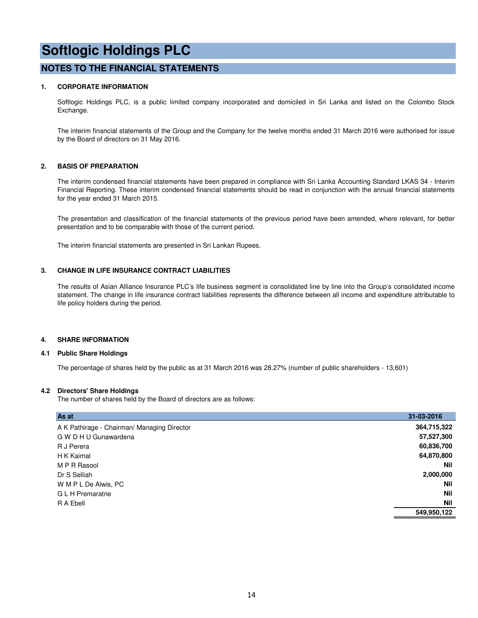#### **NOTES TO THE FINANCIAL STATEMENTS**

#### **1. CORPORATE INFORMATION**

Softlogic Holdings PLC, is a public limited company incorporated and domiciled in Sri Lanka and listed on the Colombo Stock Exchange.

The interim financial statements of the Group and the Company for the twelve months ended 31 March 2016 were authorised for issue by the Board of directors on 31 May 2016.

#### **2. BASIS OF PREPARATION**

The interim condensed financial statements have been prepared in compliance with Sri Lanka Accounting Standard LKAS 34 - Interim Financial Reporting. These interim condensed financial statements should be read in conjunction with the annual financial statements for the year ended 31 March 2015.

The presentation and classification of the financial statements of the previous period have been amended, where relevant, for better presentation and to be comparable with those of the current period.

The interim financial statements are presented in Sri Lankan Rupees.

#### **3. CHANGE IN LIFE INSURANCE CONTRACT LIABILITIES**

The results of Asian Alliance Insurance PLC's life business segment is consolidated line by line into the Group's consolidated income statement. The change in life insurance contract liabilities represents the difference between all income and expenditure attributable to life policy holders during the period.

#### **4. SHARE INFORMATION**

#### **4.1 Public Share Holdings**

The percentage of shares held by the public as at 31 March 2016 was 28.27% (number of public shareholders - 13,601)

#### **4.2 Directors' Share Holdings**

The number of shares held by the Board of directors are as follows:

| As at                                       | 31-03-2016  |
|---------------------------------------------|-------------|
| A K Pathirage - Chairman/ Managing Director | 364,715,322 |
| G W D H U Gunawardena                       | 57,527,300  |
| R J Perera                                  | 60,836,700  |
| H K Kaimal                                  | 64,870,800  |
| M P R Rasool                                | <b>Nil</b>  |
| Dr S Selliah                                | 2,000,000   |
| W M P L De Alwis, PC                        | <b>Nil</b>  |
| G L H Premaratne                            | <b>Nil</b>  |
| R A Ebell                                   | <b>Nil</b>  |
|                                             | 549,950,122 |
|                                             |             |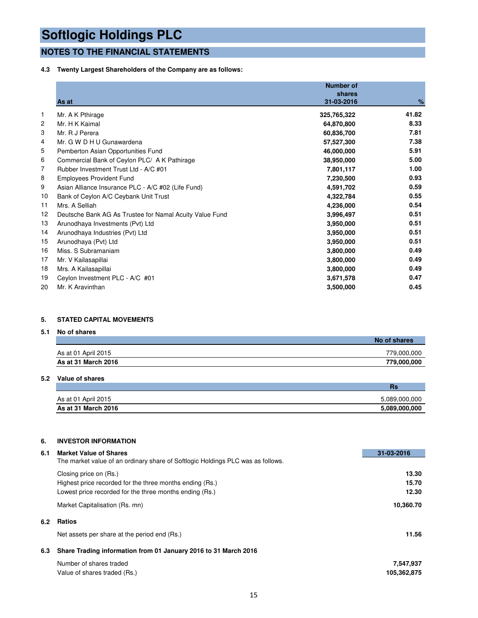### **NOTES TO THE FINANCIAL STATEMENTS**

#### **4.3 Twenty Largest Shareholders of the Company are as follows:**

|    | As at                                                   | <b>Number of</b><br>shares<br>31-03-2016 | %     |
|----|---------------------------------------------------------|------------------------------------------|-------|
| 1  | Mr. A K Pthirage                                        | 325,765,322                              | 41.82 |
| 2  | Mr. H K Kaimal                                          | 64,870,800                               | 8.33  |
| 3  | Mr. R J Perera                                          | 60,836,700                               | 7.81  |
| 4  | Mr. G W D H U Gunawardena                               | 57,527,300                               | 7.38  |
| 5  | Pemberton Asian Opportunities Fund                      | 46,000,000                               | 5.91  |
| 6  | Commercial Bank of Ceylon PLC/ A K Pathirage            | 38,950,000                               | 5.00  |
| 7  | Rubber Investment Trust Ltd - A/C #01                   | 7,801,117                                | 1.00  |
| 8  | <b>Employees Provident Fund</b>                         | 7,230,500                                | 0.93  |
| 9  | Asian Alliance Insurance PLC - A/C #02 (Life Fund)      | 4,591,702                                | 0.59  |
| 10 | Bank of Ceylon A/C Ceybank Unit Trust                   | 4,322,784                                | 0.55  |
| 11 | Mrs. A Selliah                                          | 4,236,000                                | 0.54  |
| 12 | Deutsche Bank AG As Trustee for Namal Acuity Value Fund | 3,996,497                                | 0.51  |
| 13 | Arunodhaya Investments (Pvt) Ltd                        | 3,950,000                                | 0.51  |
| 14 | Arunodhaya Industries (Pvt) Ltd                         | 3,950,000                                | 0.51  |
| 15 | Arunodhaya (Pvt) Ltd                                    | 3,950,000                                | 0.51  |
| 16 | Miss. S Subramaniam                                     | 3,800,000                                | 0.49  |
| 17 | Mr. V Kailasapillai                                     | 3,800,000                                | 0.49  |
| 18 | Mrs. A Kailasapillai                                    | 3,800,000                                | 0.49  |
| 19 | Ceylon Investment PLC - A/C #01                         | 3,671,578                                | 0.47  |
| 20 | Mr. K Aravinthan                                        | 3,500,000                                | 0.45  |

#### **5. STATED CAPITAL MOVEMENTS**

#### **5.1 No of shares**

|                     | No of shares |
|---------------------|--------------|
| As at 01 April 2015 | 779,000,000  |
| As at 31 March 2016 | 779,000,000  |

#### **5.2 Value of shares**

|                     | нэ            |
|---------------------|---------------|
| As at 01 April 2015 | 5,089,000,000 |
| As at 31 March 2016 | 5,089,000,000 |

#### **6. INVESTOR INFORMATION**

| 6.1 | <b>Market Value of Shares</b>                                                   | 31-03-2016  |
|-----|---------------------------------------------------------------------------------|-------------|
|     | The market value of an ordinary share of Softlogic Holdings PLC was as follows. |             |
|     | Closing price on (Rs.)                                                          | 13.30       |
|     | Highest price recorded for the three months ending (Rs.)                        | 15.70       |
|     | Lowest price recorded for the three months ending (Rs.)                         | 12.30       |
|     | Market Capitalisation (Rs. mn)                                                  | 10,360.70   |
| 6.2 | <b>Ratios</b>                                                                   |             |
|     | Net assets per share at the period end (Rs.)                                    | 11.56       |
| 6.3 | Share Trading information from 01 January 2016 to 31 March 2016                 |             |
|     | Number of shares traded                                                         | 7,547,937   |
|     | Value of shares traded (Rs.)                                                    | 105,362,875 |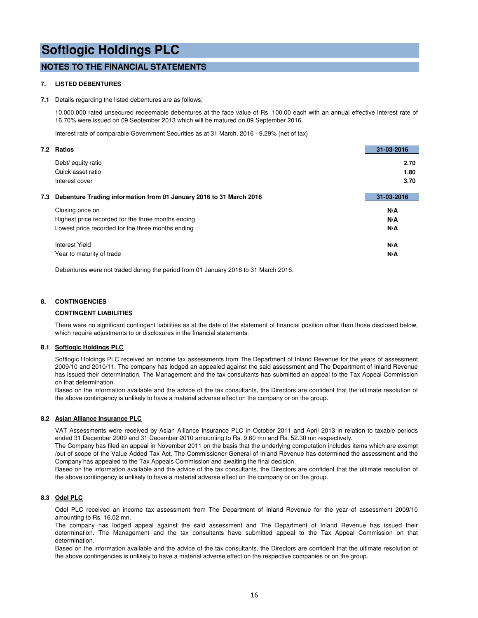#### **NOTES TO THE FINANCIAL STATEMENTS**

#### **7. LISTED DEBENTURES**

#### **7.1** Details regarding the listed debentures are as follows;

10,000,000 rated unsecured redeemable debentures at the face value of Rs. 100.00 each with an annual effective interest rate of 16.70% were issued on 09 September 2013 which will be matured on 09 September 2016.

Interest rate of comparable Government Securities as at 31 March, 2016 - 9.29% (net of tax)

|     | 7.2 Ratios                                                          | 31-03-2016 |
|-----|---------------------------------------------------------------------|------------|
|     | Debt/ equity ratio                                                  | 2.70       |
|     | Quick asset ratio                                                   | 1.80       |
|     | Interest cover                                                      | 3.70       |
| 7.3 | Debenture Trading information from 01 January 2016 to 31 March 2016 | 31-03-2016 |
|     | Closing price on                                                    | N/A        |
|     | Highest price recorded for the three months ending                  | N/A        |
|     | Lowest price recorded for the three months ending                   | N/A        |
|     | Interest Yield                                                      | N/A        |
|     | Year to maturity of trade                                           | N/A        |

Debentures were not traded during the period from 01 January 2016 to 31 March 2016.

#### **8. CONTINGENCIES**

#### **CONTINGENT LIABILITIES**

There were no significant contingent liabilities as at the date of the statement of financial position other than those disclosed below, which require adjustments to or disclosures in the financial statements.

#### **8.1 Softlogic Holdings PLC**

Softlogic Holdings PLC received an income tax assessments from The Department of Inland Revenue for the years of assessment 2009/10 and 2010/11. The company has lodged an appealed against the said assessment and The Department of Inland Revenue has issued their determination. The Management and the tax consultants has submitted an appeal to the Tax Appeal Commission on that determination.

Based on the information available and the advice of the tax consultants, the Directors are confident that the ultimate resolution of the above contingency is unlikely to have a material adverse effect on the company or on the group.

#### **8.2 Asian Alliance Insurance PLC**

VAT Assessments were received by Asian Alliance Insurance PLC in October 2011 and April 2013 in relation to taxable periods ended 31 December 2009 and 31 December 2010 amounting to Rs. 9.60 mn and Rs. 52.30 mn respectively.

The Company has filed an appeal in November 2011 on the basis that the underlying computation includes items which are exempt /out of scope of the Value Added Tax Act. The Commissioner General of Inland Revenue has determined the assessment and the Company has appealed to the Tax Appeals Commission and awaiting the final decision.

Based on the information available and the advice of the tax consultants, the Directors are confident that the ultimate resolution of the above contingency is unlikely to have a material adverse effect on the company or on the group.

#### **8.3 Odel PLC**

Odel PLC received an income tax assessment from The Department of Inland Revenue for the year of assessment 2009/10 amounting to Rs. 16.02 mn.

The company has lodged appeal against the said assessment and The Department of Inland Revenue has issued their determination. The Management and the tax consultants have submitted appeal to the Tax Appeal Commission on that determination.

Based on the information available and the advice of the tax consultants, the Directors are confident that the ultimate resolution of the above contingencies is unlikely to have a material adverse effect on the respective companies or on the group.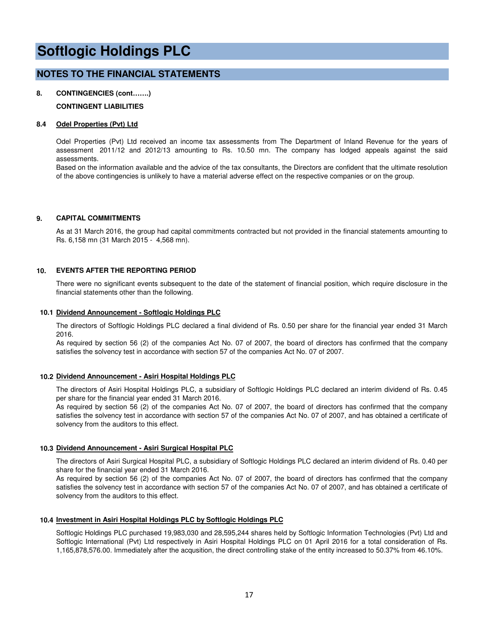#### **NOTES TO THE FINANCIAL STATEMENTS**

### **8. CONTINGENCIES (cont…….)**

#### **CONTINGENT LIABILITIES**

#### **8.4 Odel Properties (Pvt) Ltd**

Odel Properties (Pvt) Ltd received an income tax assessments from The Department of Inland Revenue for the years of assessment 2011/12 and 2012/13 amounting to Rs. 10.50 mn. The company has lodged appeals against the said assessments.

Based on the information available and the advice of the tax consultants, the Directors are confident that the ultimate resolution of the above contingencies is unlikely to have a material adverse effect on the respective companies or on the group.

#### **9. CAPITAL COMMITMENTS**

As at 31 March 2016, the group had capital commitments contracted but not provided in the financial statements amounting to Rs. 6,158 mn (31 March 2015 - 4,568 mn).

#### **10. EVENTS AFTER THE REPORTING PERIOD**

There were no significant events subsequent to the date of the statement of financial position, which require disclosure in the financial statements other than the following.

#### **10.1 Dividend Announcement - Softlogic Holdings PLC**

The directors of Softlogic Holdings PLC declared a final dividend of Rs. 0.50 per share for the financial year ended 31 March 2016.

As required by section 56 (2) of the companies Act No. 07 of 2007, the board of directors has confirmed that the company satisfies the solvency test in accordance with section 57 of the companies Act No. 07 of 2007.

#### **10.2 Dividend Announcement - Asiri Hospital Holdings PLC**

The directors of Asiri Hospital Holdings PLC, a subsidiary of Softlogic Holdings PLC declared an interim dividend of Rs. 0.45 per share for the financial year ended 31 March 2016.

As required by section 56 (2) of the companies Act No. 07 of 2007, the board of directors has confirmed that the company satisfies the solvency test in accordance with section 57 of the companies Act No. 07 of 2007, and has obtained a certificate of solvency from the auditors to this effect.

#### **10.3 Dividend Announcement - Asiri Surgical Hospital PLC**

The directors of Asiri Surgical Hospital PLC, a subsidiary of Softlogic Holdings PLC declared an interim dividend of Rs. 0.40 per share for the financial year ended 31 March 2016.

As required by section 56 (2) of the companies Act No. 07 of 2007, the board of directors has confirmed that the company satisfies the solvency test in accordance with section 57 of the companies Act No. 07 of 2007, and has obtained a certificate of solvency from the auditors to this effect.

#### **10.4 Investment in Asiri Hospital Holdings PLC by Softlogic Holdings PLC**

Softlogic Holdings PLC purchased 19,983,030 and 28,595,244 shares held by Softlogic Information Technologies (Pvt) Ltd and Softlogic International (Pvt) Ltd respectively in Asiri Hospital Holdings PLC on 01 April 2016 for a total consideration of Rs. 1,165,878,576.00. Immediately after the acqusition, the direct controlling stake of the entity increased to 50.37% from 46.10%.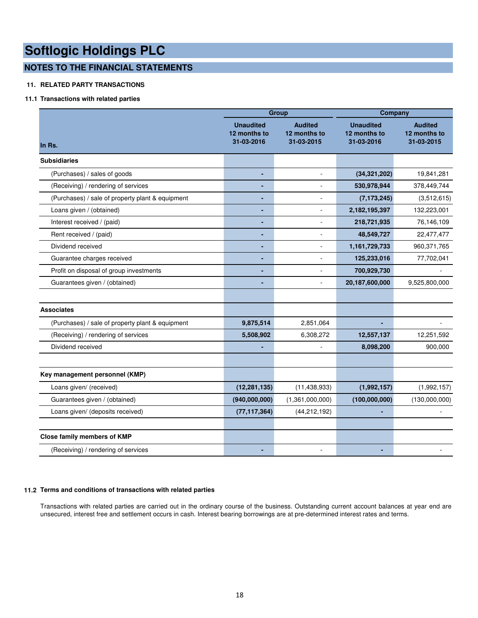### **NOTES TO THE FINANCIAL STATEMENTS**

#### **11. RELATED PARTY TRANSACTIONS**

#### **11.1 Transactions with related parties**

|                                                  |                                                | <b>Group</b>                                 | Company                                        |                                              |  |  |
|--------------------------------------------------|------------------------------------------------|----------------------------------------------|------------------------------------------------|----------------------------------------------|--|--|
| In Rs.                                           | <b>Unaudited</b><br>12 months to<br>31-03-2016 | <b>Audited</b><br>12 months to<br>31-03-2015 | <b>Unaudited</b><br>12 months to<br>31-03-2016 | <b>Audited</b><br>12 months to<br>31-03-2015 |  |  |
| <b>Subsidiaries</b>                              |                                                |                                              |                                                |                                              |  |  |
| (Purchases) / sales of goods                     | ٠                                              | ÷.                                           | (34, 321, 202)                                 | 19,841,281                                   |  |  |
| (Receiving) / rendering of services              |                                                | ÷,                                           | 530,978,944                                    | 378,449,744                                  |  |  |
| (Purchases) / sale of property plant & equipment | ٠                                              | $\overline{\phantom{a}}$                     | (7, 173, 245)                                  | (3,512,615)                                  |  |  |
| Loans given / (obtained)                         | $\blacksquare$                                 | ÷,                                           | 2,182,195,397                                  | 132,223,001                                  |  |  |
| Interest received / (paid)                       | ٠                                              | ÷,                                           | 218,721,935                                    | 76,146,109                                   |  |  |
| Rent received / (paid)                           |                                                | ÷.                                           | 48,549,727                                     | 22,477,477                                   |  |  |
| Dividend received                                |                                                |                                              | 1,161,729,733                                  | 960, 371, 765                                |  |  |
| Guarantee charges received                       | ٠                                              | ÷,                                           | 125,233,016                                    | 77,702,041                                   |  |  |
| Profit on disposal of group investments          |                                                |                                              | 700,929,730                                    |                                              |  |  |
| Guarantees given / (obtained)                    | $\blacksquare$                                 | $\omega$                                     | 20,187,600,000                                 | 9,525,800,000                                |  |  |
|                                                  |                                                |                                              |                                                |                                              |  |  |
| <b>Associates</b>                                |                                                |                                              |                                                |                                              |  |  |
| (Purchases) / sale of property plant & equipment | 9,875,514                                      | 2,851,064                                    |                                                |                                              |  |  |
| (Receiving) / rendering of services              | 5,508,902                                      | 6,308,272                                    | 12,557,137                                     | 12,251,592                                   |  |  |
| Dividend received                                |                                                |                                              | 8,098,200                                      | 900,000                                      |  |  |
|                                                  |                                                |                                              |                                                |                                              |  |  |
| Key management personnel (KMP)                   |                                                |                                              |                                                |                                              |  |  |
| Loans given/ (received)                          | (12, 281, 135)                                 | (11, 438, 933)                               | (1,992,157)                                    | (1,992,157)                                  |  |  |
| Guarantees given / (obtained)                    | (940,000,000)                                  | (1,361,000,000)                              | (100,000,000)                                  | (130,000,000)                                |  |  |
| Loans given/ (deposits received)                 | (77, 117, 364)                                 | (44, 212, 192)                               | ٠                                              |                                              |  |  |
|                                                  |                                                |                                              |                                                |                                              |  |  |
| <b>Close family members of KMP</b>               |                                                |                                              |                                                |                                              |  |  |
| (Receiving) / rendering of services              |                                                |                                              |                                                |                                              |  |  |

#### **11.2 Terms and conditions of transactions with related parties**

Transactions with related parties are carried out in the ordinary course of the business. Outstanding current account balances at year end are unsecured, interest free and settlement occurs in cash. Interest bearing borrowings are at pre-determined interest rates and terms.